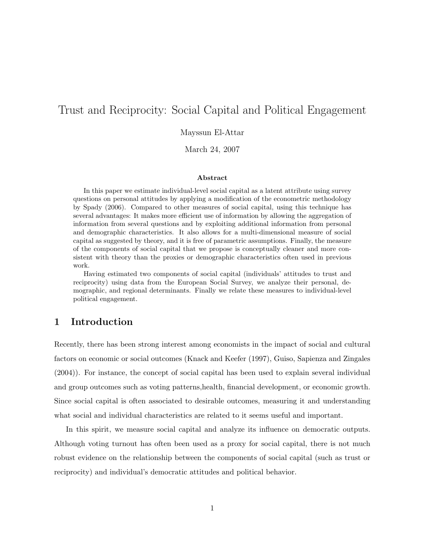# Trust and Reciprocity: Social Capital and Political Engagement

Mayssun El-Attar

March 24, 2007

#### Abstract

In this paper we estimate individual-level social capital as a latent attribute using survey questions on personal attitudes by applying a modification of the econometric methodology by Spady (2006). Compared to other measures of social capital, using this technique has several advantages: It makes more efficient use of information by allowing the aggregation of information from several questions and by exploiting additional information from personal and demographic characteristics. It also allows for a multi-dimensional measure of social capital as suggested by theory, and it is free of parametric assumptions. Finally, the measure of the components of social capital that we propose is conceptually cleaner and more consistent with theory than the proxies or demographic characteristics often used in previous work.

Having estimated two components of social capital (individuals' attitudes to trust and reciprocity) using data from the European Social Survey, we analyze their personal, demographic, and regional determinants. Finally we relate these measures to individual-level political engagement.

## 1 Introduction

Recently, there has been strong interest among economists in the impact of social and cultural factors on economic or social outcomes (Knack and Keefer (1997), Guiso, Sapienza and Zingales (2004)). For instance, the concept of social capital has been used to explain several individual and group outcomes such as voting patterns,health, financial development, or economic growth. Since social capital is often associated to desirable outcomes, measuring it and understanding what social and individual characteristics are related to it seems useful and important.

In this spirit, we measure social capital and analyze its influence on democratic outputs. Although voting turnout has often been used as a proxy for social capital, there is not much robust evidence on the relationship between the components of social capital (such as trust or reciprocity) and individual's democratic attitudes and political behavior.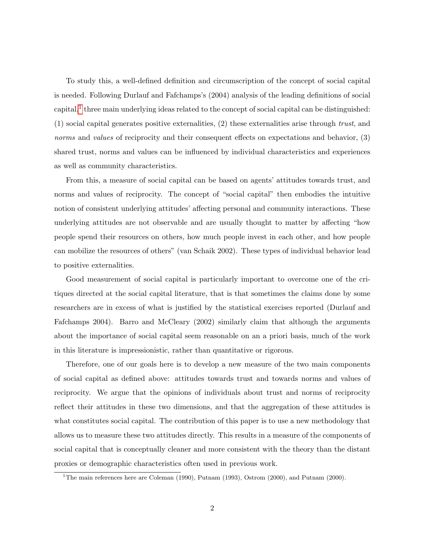To study this, a well-defined definition and circumscription of the concept of social capital is needed. Following Durlauf and Fafchamps's (2004) analysis of the leading definitions of social capital,<sup>[1](#page-1-0)</sup> three main underlying ideas related to the concept of social capital can be distinguished: (1) social capital generates positive externalities, (2) these externalities arise through trust, and norms and values of reciprocity and their consequent effects on expectations and behavior, (3) shared trust, norms and values can be influenced by individual characteristics and experiences as well as community characteristics.

From this, a measure of social capital can be based on agents' attitudes towards trust, and norms and values of reciprocity. The concept of "social capital" then embodies the intuitive notion of consistent underlying attitudes' affecting personal and community interactions. These underlying attitudes are not observable and are usually thought to matter by affecting "how people spend their resources on others, how much people invest in each other, and how people can mobilize the resources of others" (van Schaik 2002). These types of individual behavior lead to positive externalities.

Good measurement of social capital is particularly important to overcome one of the critiques directed at the social capital literature, that is that sometimes the claims done by some researchers are in excess of what is justified by the statistical exercises reported (Durlauf and Fafchamps 2004). Barro and McCleary (2002) similarly claim that although the arguments about the importance of social capital seem reasonable on an a priori basis, much of the work in this literature is impressionistic, rather than quantitative or rigorous.

Therefore, one of our goals here is to develop a new measure of the two main components of social capital as defined above: attitudes towards trust and towards norms and values of reciprocity. We argue that the opinions of individuals about trust and norms of reciprocity reflect their attitudes in these two dimensions, and that the aggregation of these attitudes is what constitutes social capital. The contribution of this paper is to use a new methodology that allows us to measure these two attitudes directly. This results in a measure of the components of social capital that is conceptually cleaner and more consistent with the theory than the distant proxies or demographic characteristics often used in previous work.

<span id="page-1-0"></span><sup>&</sup>lt;sup>1</sup>The main references here are Coleman (1990), Putnam (1993), Ostrom (2000), and Putnam (2000).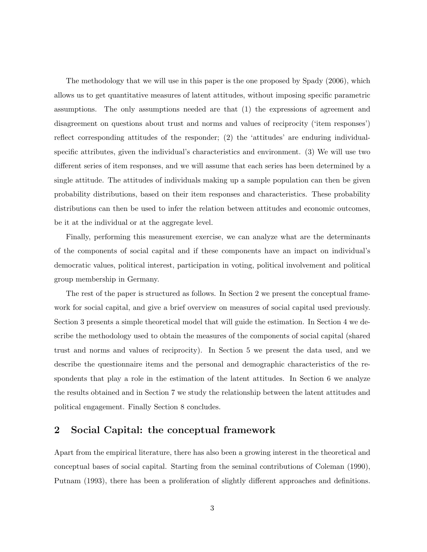The methodology that we will use in this paper is the one proposed by Spady (2006), which allows us to get quantitative measures of latent attitudes, without imposing specific parametric assumptions. The only assumptions needed are that (1) the expressions of agreement and disagreement on questions about trust and norms and values of reciprocity ('item responses') reflect corresponding attitudes of the responder; (2) the 'attitudes' are enduring individualspecific attributes, given the individual's characteristics and environment. (3) We will use two different series of item responses, and we will assume that each series has been determined by a single attitude. The attitudes of individuals making up a sample population can then be given probability distributions, based on their item responses and characteristics. These probability distributions can then be used to infer the relation between attitudes and economic outcomes, be it at the individual or at the aggregate level.

Finally, performing this measurement exercise, we can analyze what are the determinants of the components of social capital and if these components have an impact on individual's democratic values, political interest, participation in voting, political involvement and political group membership in Germany.

The rest of the paper is structured as follows. In Section 2 we present the conceptual framework for social capital, and give a brief overview on measures of social capital used previously. Section 3 presents a simple theoretical model that will guide the estimation. In Section 4 we describe the methodology used to obtain the measures of the components of social capital (shared trust and norms and values of reciprocity). In Section 5 we present the data used, and we describe the questionnaire items and the personal and demographic characteristics of the respondents that play a role in the estimation of the latent attitudes. In Section 6 we analyze the results obtained and in Section 7 we study the relationship between the latent attitudes and political engagement. Finally Section 8 concludes.

## 2 Social Capital: the conceptual framework

Apart from the empirical literature, there has also been a growing interest in the theoretical and conceptual bases of social capital. Starting from the seminal contributions of Coleman (1990), Putnam (1993), there has been a proliferation of slightly different approaches and definitions.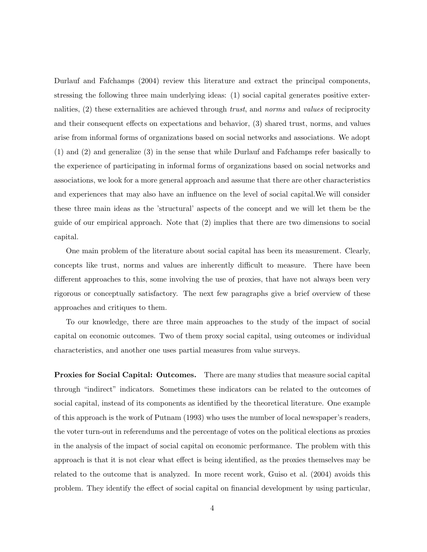Durlauf and Fafchamps (2004) review this literature and extract the principal components, stressing the following three main underlying ideas: (1) social capital generates positive externalities, (2) these externalities are achieved through trust, and norms and values of reciprocity and their consequent effects on expectations and behavior, (3) shared trust, norms, and values arise from informal forms of organizations based on social networks and associations. We adopt (1) and (2) and generalize (3) in the sense that while Durlauf and Fafchamps refer basically to the experience of participating in informal forms of organizations based on social networks and associations, we look for a more general approach and assume that there are other characteristics and experiences that may also have an influence on the level of social capital.We will consider these three main ideas as the 'structural' aspects of the concept and we will let them be the guide of our empirical approach. Note that (2) implies that there are two dimensions to social capital.

One main problem of the literature about social capital has been its measurement. Clearly, concepts like trust, norms and values are inherently difficult to measure. There have been different approaches to this, some involving the use of proxies, that have not always been very rigorous or conceptually satisfactory. The next few paragraphs give a brief overview of these approaches and critiques to them.

To our knowledge, there are three main approaches to the study of the impact of social capital on economic outcomes. Two of them proxy social capital, using outcomes or individual characteristics, and another one uses partial measures from value surveys.

Proxies for Social Capital: Outcomes. There are many studies that measure social capital through "indirect" indicators. Sometimes these indicators can be related to the outcomes of social capital, instead of its components as identified by the theoretical literature. One example of this approach is the work of Putnam (1993) who uses the number of local newspaper's readers, the voter turn-out in referendums and the percentage of votes on the political elections as proxies in the analysis of the impact of social capital on economic performance. The problem with this approach is that it is not clear what effect is being identified, as the proxies themselves may be related to the outcome that is analyzed. In more recent work, Guiso et al. (2004) avoids this problem. They identify the effect of social capital on financial development by using particular,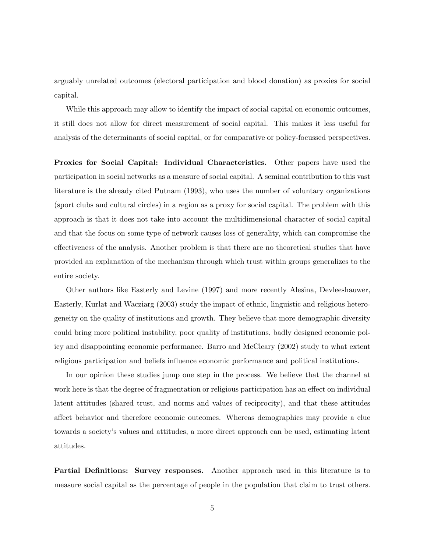arguably unrelated outcomes (electoral participation and blood donation) as proxies for social capital.

While this approach may allow to identify the impact of social capital on economic outcomes, it still does not allow for direct measurement of social capital. This makes it less useful for analysis of the determinants of social capital, or for comparative or policy-focussed perspectives.

Proxies for Social Capital: Individual Characteristics. Other papers have used the participation in social networks as a measure of social capital. A seminal contribution to this vast literature is the already cited Putnam (1993), who uses the number of voluntary organizations (sport clubs and cultural circles) in a region as a proxy for social capital. The problem with this approach is that it does not take into account the multidimensional character of social capital and that the focus on some type of network causes loss of generality, which can compromise the effectiveness of the analysis. Another problem is that there are no theoretical studies that have provided an explanation of the mechanism through which trust within groups generalizes to the entire society.

Other authors like Easterly and Levine (1997) and more recently Alesina, Devleeshauwer, Easterly, Kurlat and Wacziarg (2003) study the impact of ethnic, linguistic and religious heterogeneity on the quality of institutions and growth. They believe that more demographic diversity could bring more political instability, poor quality of institutions, badly designed economic policy and disappointing economic performance. Barro and McCleary (2002) study to what extent religious participation and beliefs influence economic performance and political institutions.

In our opinion these studies jump one step in the process. We believe that the channel at work here is that the degree of fragmentation or religious participation has an effect on individual latent attitudes (shared trust, and norms and values of reciprocity), and that these attitudes affect behavior and therefore economic outcomes. Whereas demographics may provide a clue towards a society's values and attitudes, a more direct approach can be used, estimating latent attitudes.

Partial Definitions: Survey responses. Another approach used in this literature is to measure social capital as the percentage of people in the population that claim to trust others.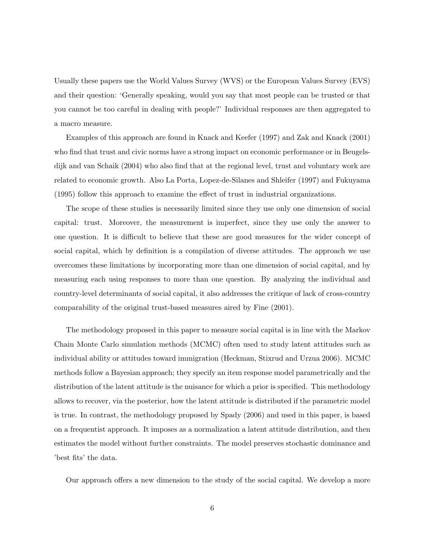Usually these papers use the World Values Survey (WVS) or the European Values Survey (EVS) and their question: 'Generally speaking, would you say that most people can be trusted or that you cannot be too careful in dealing with people?' Individual responses are then aggregated to a macro measure.

Examples of this approach are found in Knack and Keefer (1997) and Zak and Knack (2001) who find that trust and civic norms have a strong impact on economic performance or in Beugelsdijk and van Schaik (2004) who also find that at the regional level, trust and voluntary work are related to economic growth. Also La Porta, Lopez-de-Silanes and Shleifer (1997) and Fukuyama (1995) follow this approach to examine the effect of trust in industrial organizations.

The scope of these studies is necessarily limited since they use only one dimension of social capital: trust. Moreover, the measurement is imperfect, since they use only the answer to one question. It is difficult to believe that these are good measures for the wider concept of social capital, which by definition is a compilation of diverse attitudes. The approach we use overcomes these limitations by incorporating more than one dimension of social capital, and by measuring each using responses to more than one question. By analyzing the individual and country-level determinants of social capital, it also addresses the critique of lack of cross-country comparability of the original trust-based measures aired by Fine (2001).

The methodology proposed in this paper to measure social capital is in line with the Markov Chain Monte Carlo simulation methods (MCMC) often used to study latent attitudes such as individual ability or attitudes toward immigration (Heckman, Stixrud and Urzua 2006). MCMC methods follow a Bayesian approach; they specify an item response model parametrically and the distribution of the latent attitude is the nuisance for which a prior is specified. This methodology allows to recover, via the posterior, how the latent attitude is distributed if the parametric model is true. In contrast, the methodology proposed by Spady (2006) and used in this paper, is based on a frequentist approach. It imposes as a normalization a latent attitude distribution, and then estimates the model without further constraints. The model preserves stochastic dominance and 'best fits' the data.

Our approach offers a new dimension to the study of the social capital. We develop a more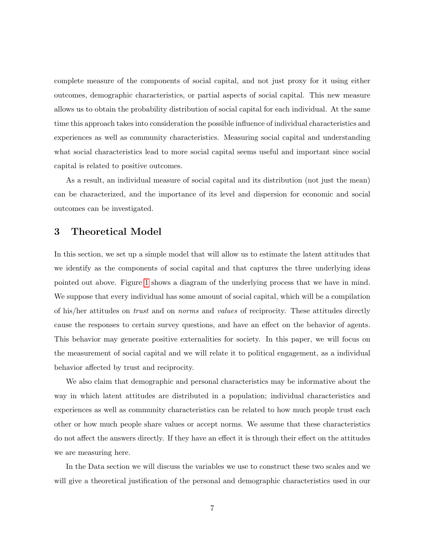complete measure of the components of social capital, and not just proxy for it using either outcomes, demographic characteristics, or partial aspects of social capital. This new measure allows us to obtain the probability distribution of social capital for each individual. At the same time this approach takes into consideration the possible influence of individual characteristics and experiences as well as community characteristics. Measuring social capital and understanding what social characteristics lead to more social capital seems useful and important since social capital is related to positive outcomes.

As a result, an individual measure of social capital and its distribution (not just the mean) can be characterized, and the importance of its level and dispersion for economic and social outcomes can be investigated.

## 3 Theoretical Model

In this section, we set up a simple model that will allow us to estimate the latent attitudes that we identify as the components of social capital and that captures the three underlying ideas pointed out above. Figure [1](#page-7-0) shows a diagram of the underlying process that we have in mind. We suppose that every individual has some amount of social capital, which will be a compilation of his/her attitudes on trust and on norms and values of reciprocity. These attitudes directly cause the responses to certain survey questions, and have an effect on the behavior of agents. This behavior may generate positive externalities for society. In this paper, we will focus on the measurement of social capital and we will relate it to political engagement, as a individual behavior affected by trust and reciprocity.

We also claim that demographic and personal characteristics may be informative about the way in which latent attitudes are distributed in a population; individual characteristics and experiences as well as community characteristics can be related to how much people trust each other or how much people share values or accept norms. We assume that these characteristics do not affect the answers directly. If they have an effect it is through their effect on the attitudes we are measuring here.

In the Data section we will discuss the variables we use to construct these two scales and we will give a theoretical justification of the personal and demographic characteristics used in our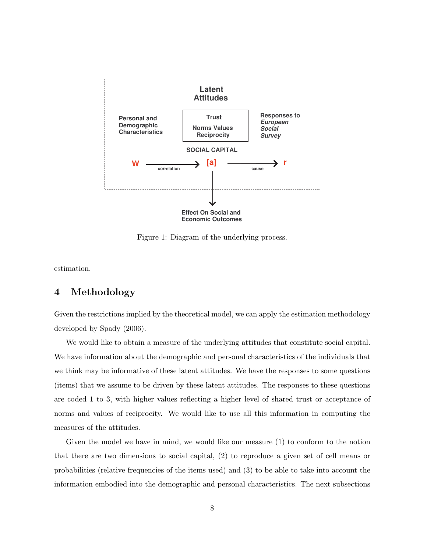

<span id="page-7-0"></span>Figure 1: Diagram of the underlying process.

estimation.

## 4 Methodology

Given the restrictions implied by the theoretical model, we can apply the estimation methodology developed by Spady (2006).

We would like to obtain a measure of the underlying attitudes that constitute social capital. We have information about the demographic and personal characteristics of the individuals that we think may be informative of these latent attitudes. We have the responses to some questions (items) that we assume to be driven by these latent attitudes. The responses to these questions are coded 1 to 3, with higher values reflecting a higher level of shared trust or acceptance of norms and values of reciprocity. We would like to use all this information in computing the measures of the attitudes.

Given the model we have in mind, we would like our measure (1) to conform to the notion that there are two dimensions to social capital, (2) to reproduce a given set of cell means or probabilities (relative frequencies of the items used) and (3) to be able to take into account the information embodied into the demographic and personal characteristics. The next subsections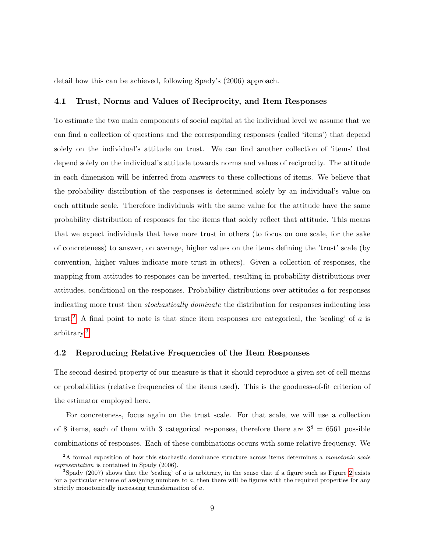detail how this can be achieved, following Spady's (2006) approach.

### 4.1 Trust, Norms and Values of Reciprocity, and Item Responses

To estimate the two main components of social capital at the individual level we assume that we can find a collection of questions and the corresponding responses (called 'items') that depend solely on the individual's attitude on trust. We can find another collection of 'items' that depend solely on the individual's attitude towards norms and values of reciprocity. The attitude in each dimension will be inferred from answers to these collections of items. We believe that the probability distribution of the responses is determined solely by an individual's value on each attitude scale. Therefore individuals with the same value for the attitude have the same probability distribution of responses for the items that solely reflect that attitude. This means that we expect individuals that have more trust in others (to focus on one scale, for the sake of concreteness) to answer, on average, higher values on the items defining the 'trust' scale (by convention, higher values indicate more trust in others). Given a collection of responses, the mapping from attitudes to responses can be inverted, resulting in probability distributions over attitudes, conditional on the responses. Probability distributions over attitudes a for responses indicating more trust then stochastically dominate the distribution for responses indicating less trust.<sup>[2](#page-8-0)</sup> A final point to note is that since item responses are categorical, the 'scaling' of  $\alpha$  is arbitrary.[3](#page-8-1)

### 4.2 Reproducing Relative Frequencies of the Item Responses

The second desired property of our measure is that it should reproduce a given set of cell means or probabilities (relative frequencies of the items used). This is the goodness-of-fit criterion of the estimator employed here.

For concreteness, focus again on the trust scale. For that scale, we will use a collection of 8 items, each of them with 3 categorical responses, therefore there are  $3^8 = 6561$  possible combinations of responses. Each of these combinations occurs with some relative frequency. We

<span id="page-8-0"></span> $2A$  formal exposition of how this stochastic dominance structure across items determines a monotonic scale representation is contained in Spady (2006).

<span id="page-8-1"></span><sup>&</sup>lt;sup>3</sup>Spady (2007) shows that the 'scaling' of a is arbitrary, in the sense that if a figure such as Figure [2](#page-10-0) exists for a particular scheme of assigning numbers to  $a$ , then there will be figures with the required properties for any strictly monotonically increasing transformation of a.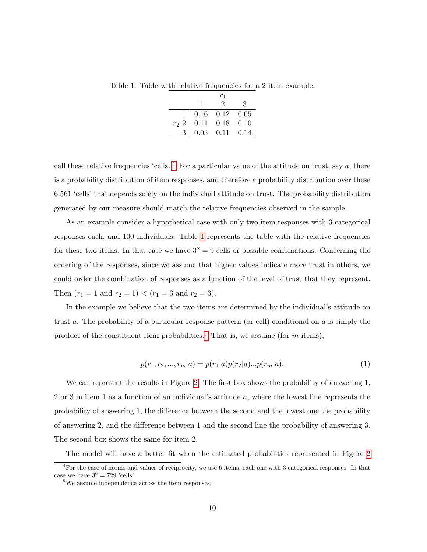Table 1: Table with relative frequencies for a 2 item example.

<span id="page-9-1"></span>

|                |                                                                                                        | $r_1$                       |   |
|----------------|--------------------------------------------------------------------------------------------------------|-----------------------------|---|
|                |                                                                                                        | $\mathcal{D}_{\mathcal{L}}$ | З |
| $\mathbf{1}$   |                                                                                                        |                             |   |
| $r_2$ 2        |                                                                                                        |                             |   |
| $\overline{3}$ | $\begin{array}{ r cc} 0.16 & 0.12 & 0.05 \ \hline 0.11 & 0.18 & 0.10 \ 0.03 & 0.11 & 0.14 \end{array}$ |                             |   |

call these relative frequencies 'cells.'<sup>[4](#page-9-0)</sup> For a particular value of the attitude on trust, say  $a$ , there is a probability distribution of item responses, and therefore a probability distribution over these 6.561 'cells' that depends solely on the individual attitude on trust. The probability distribution generated by our measure should match the relative frequencies observed in the sample.

As an example consider a hypothetical case with only two item responses with 3 categorical responses each, and 100 individuals. Table [1](#page-9-1) represents the table with the relative frequencies for these two items. In that case we have  $3^2 = 9$  cells or possible combinations. Concerning the ordering of the responses, since we assume that higher values indicate more trust in others, we could order the combination of responses as a function of the level of trust that they represent. Then  $(r_1 = 1 \text{ and } r_2 = 1) < (r_1 = 3 \text{ and } r_2 = 3).$ 

In the example we believe that the two items are determined by the individual's attitude on trust a. The probability of a particular response pattern (or cell) conditional on  $\alpha$  is simply the product of the constituent item probabilities.<sup>[5](#page-9-2)</sup> That is, we assume (for m items),

$$
p(r_1, r_2, ..., r_m|a) = p(r_1|a)p(r_2|a)...p(r_m|a).
$$
\n(1)

We can represent the results in Figure [2.](#page-10-0) The first box shows the probability of answering 1, 2 or 3 in item 1 as a function of an individual's attitude a, where the lowest line represents the probability of answering 1, the difference between the second and the lowest one the probability of answering 2, and the difference between 1 and the second line the probability of answering 3. The second box shows the same for item 2.

The model will have a better fit when the estimated probabilities represented in Figure [2](#page-10-0)

<span id="page-9-0"></span><sup>&</sup>lt;sup>4</sup>For the case of norms and values of reciprocity, we use 6 items, each one with 3 categorical responses. In that case we have  $3^6 = 729$  'cells'

<span id="page-9-2"></span><sup>5</sup>We assume independence across the item responses.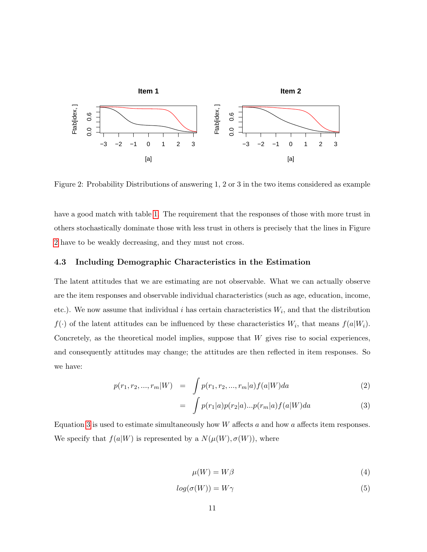

<span id="page-10-0"></span>Figure 2: Probability Distributions of answering 1, 2 or 3 in the two items considered as example

have a good match with table [1.](#page-9-1) The requirement that the responses of those with more trust in others stochastically dominate those with less trust in others is precisely that the lines in Figure [2](#page-10-0) have to be weakly decreasing, and they must not cross.

### 4.3 Including Demographic Characteristics in the Estimation

The latent attitudes that we are estimating are not observable. What we can actually observe are the item responses and observable individual characteristics (such as age, education, income, etc.). We now assume that individual i has certain characteristics  $W_i$ , and that the distribution  $f(\cdot)$  of the latent attitudes can be influenced by these characteristics  $W_i$ , that means  $f(a|W_i)$ . Concretely, as the theoretical model implies, suppose that  $W$  gives rise to social experiences, and consequently attitudes may change; the attitudes are then reflected in item responses. So we have:

<span id="page-10-1"></span>
$$
p(r_1, r_2, ..., r_m|W) = \int_{a} p(r_1, r_2, ..., r_m|a) f(a|W) da \qquad (2)
$$

$$
= \int p(r_1|a)p(r_2|a)...p(r_m|a)f(a|W)da \qquad (3)
$$

Equation [3](#page-10-1) is used to estimate simultaneously how  $W$  affects a and how a affects item responses. We specify that  $f(a|W)$  is represented by a  $N(\mu(W), \sigma(W))$ , where

<span id="page-10-2"></span>
$$
\mu(W) = W\beta \tag{4}
$$

$$
log(\sigma(W)) = W\gamma \tag{5}
$$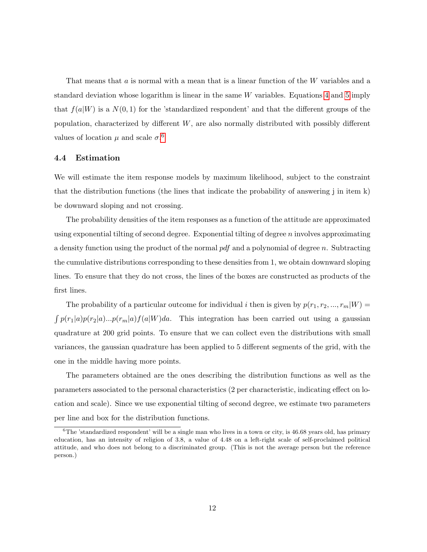That means that  $a$  is normal with a mean that is a linear function of the  $W$  variables and a standard deviation whose logarithm is linear in the same W variables. Equations [4](#page-10-2) and [5](#page-10-2) imply that  $f(a|W)$  is a  $N(0, 1)$  for the 'standardized respondent' and that the different groups of the population, characterized by different  $W$ , are also normally distributed with possibly different values of location  $\mu$  and scale  $\sigma$ .<sup>[6](#page-11-0)</sup>

#### 4.4 Estimation

We will estimate the item response models by maximum likelihood, subject to the constraint that the distribution functions (the lines that indicate the probability of answering j in item k) be downward sloping and not crossing.

The probability densities of the item responses as a function of the attitude are approximated using exponential tilting of second degree. Exponential tilting of degree n involves approximating a density function using the product of the normal  $pdf$  and a polynomial of degree n. Subtracting the cumulative distributions corresponding to these densities from 1, we obtain downward sloping lines. To ensure that they do not cross, the lines of the boxes are constructed as products of the first lines.

The probability of a particular outcome for individual i then is given by  $p(r_1, r_2, ..., r_m|W) =$  $\int p(r_1|a)p(r_2|a)...p(r_m|a)f(a|W)da$ . This integration has been carried out using a gaussian quadrature at 200 grid points. To ensure that we can collect even the distributions with small variances, the gaussian quadrature has been applied to 5 different segments of the grid, with the one in the middle having more points.

The parameters obtained are the ones describing the distribution functions as well as the parameters associated to the personal characteristics (2 per characteristic, indicating effect on location and scale). Since we use exponential tilting of second degree, we estimate two parameters per line and box for the distribution functions.

<span id="page-11-0"></span> ${}^{6}$ The 'standardized respondent' will be a single man who lives in a town or city, is 46.68 years old, has primary education, has an intensity of religion of 3.8, a value of 4.48 on a left-right scale of self-proclaimed political attitude, and who does not belong to a discriminated group. (This is not the average person but the reference person.)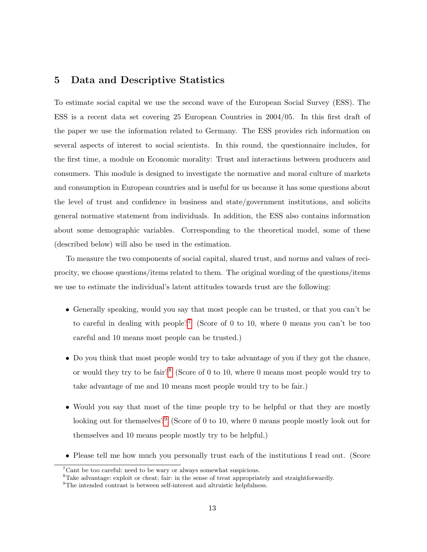## 5 Data and Descriptive Statistics

To estimate social capital we use the second wave of the European Social Survey (ESS). The ESS is a recent data set covering 25 European Countries in 2004/05. In this first draft of the paper we use the information related to Germany. The ESS provides rich information on several aspects of interest to social scientists. In this round, the questionnaire includes, for the first time, a module on Economic morality: Trust and interactions between producers and consumers. This module is designed to investigate the normative and moral culture of markets and consumption in European countries and is useful for us because it has some questions about the level of trust and confidence in business and state/government institutions, and solicits general normative statement from individuals. In addition, the ESS also contains information about some demographic variables. Corresponding to the theoretical model, some of these (described below) will also be used in the estimation.

To measure the two components of social capital, shared trust, and norms and values of reciprocity, we choose questions/items related to them. The original wording of the questions/items we use to estimate the individual's latent attitudes towards trust are the following:

- Generally speaking, would you say that most people can be trusted, or that you can't be to careful in dealing with people?[7](#page-12-0) (Score of 0 to 10, where 0 means you can't be too careful and 10 means most people can be trusted.)
- Do you think that most people would try to take advantage of you if they got the chance, or would they try to be fair?[8](#page-12-1) (Score of 0 to 10, where 0 means most people would try to take advantage of me and 10 means most people would try to be fair.)
- Would you say that most of the time people try to be helpful or that they are mostly looking out for themselves?<sup>[9](#page-12-2)</sup> (Score of 0 to 10, where 0 means people mostly look out for themselves and 10 means people mostly try to be helpful.)
- Please tell me how much you personally trust each of the institutions I read out. (Score

<span id="page-12-0"></span> ${}^{7}$ Cant be too careful: need to be wary or always somewhat suspicious.

<span id="page-12-1"></span><sup>8</sup>Take advantage: exploit or cheat; fair: in the sense of treat appropriately and straightforwardly.

<span id="page-12-2"></span><sup>&</sup>lt;sup>9</sup>The intended contrast is between self-interest and altruistic helpfulness.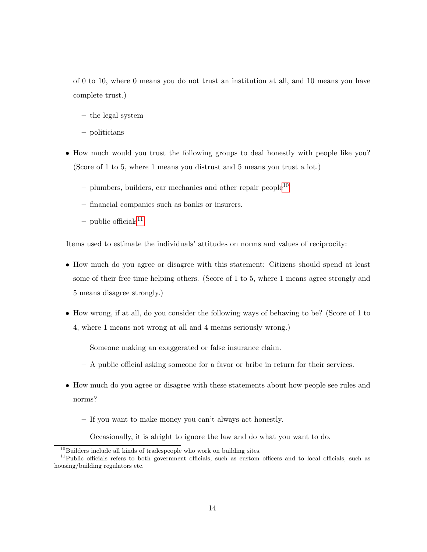of 0 to 10, where 0 means you do not trust an institution at all, and 10 means you have complete trust.)

- the legal system
- politicians
- How much would you trust the following groups to deal honestly with people like you? (Score of 1 to 5, where 1 means you distrust and 5 means you trust a lot.)
	- $-$  plumbers, builders, car mechanics and other repair people<sup>[10](#page-13-0)</sup>
	- financial companies such as banks or insurers.
	- public officials $11$

Items used to estimate the individuals' attitudes on norms and values of reciprocity:

- How much do you agree or disagree with this statement: Citizens should spend at least some of their free time helping others. (Score of 1 to 5, where 1 means agree strongly and 5 means disagree strongly.)
- How wrong, if at all, do you consider the following ways of behaving to be? (Score of 1 to 4, where 1 means not wrong at all and 4 means seriously wrong.)
	- Someone making an exaggerated or false insurance claim.
	- A public official asking someone for a favor or bribe in return for their services.
- How much do you agree or disagree with these statements about how people see rules and norms?
	- If you want to make money you can't always act honestly.
	- Occasionally, it is alright to ignore the law and do what you want to do.

<span id="page-13-1"></span><span id="page-13-0"></span> $10B$ uilders include all kinds of tradespeople who work on building sites.

 $11$ Public officials refers to both government officials, such as custom officers and to local officials, such as housing/building regulators etc.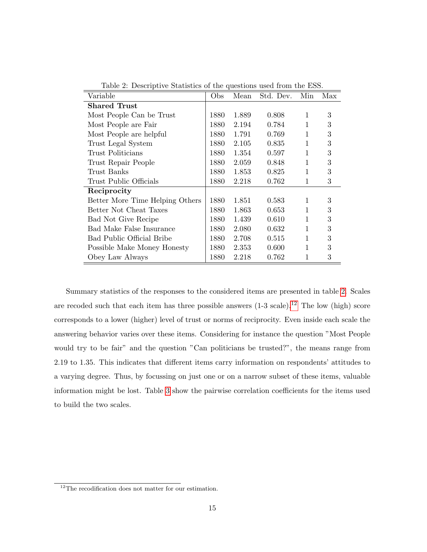| Variable                        | Obs  | Mean  | Std. Dev. | Min          | Max |
|---------------------------------|------|-------|-----------|--------------|-----|
| <b>Shared Trust</b>             |      |       |           |              |     |
| Most People Can be Trust        | 1880 | 1.889 | 0.808     | 1            | 3   |
| Most People are Fair            | 1880 | 2.194 | 0.784     | 1            | 3   |
| Most People are helpful         | 1880 | 1.791 | 0.769     | $\mathbf{1}$ | 3   |
| Trust Legal System              | 1880 | 2.105 | 0.835     | 1            | 3   |
| Trust Politicians               | 1880 | 1.354 | 0.597     | 1            | 3   |
| Trust Repair People             | 1880 | 2.059 | 0.848     | 1            | 3   |
| Trust Banks                     | 1880 | 1.853 | 0.825     | 1            | 3   |
| Trust Public Officials          | 1880 | 2.218 | 0.762     | 1            | 3   |
| Reciprocity                     |      |       |           |              |     |
| Better More Time Helping Others | 1880 | 1.851 | 0.583     | 1            | 3   |
| Better Not Cheat Taxes          | 1880 | 1.863 | 0.653     | 1            | 3   |
| Bad Not Give Recipe             | 1880 | 1.439 | 0.610     | 1            | 3   |
| Bad Make False Insurance        | 1880 | 2.080 | 0.632     | 1            | 3   |
| Bad Public Official Bribe       | 1880 | 2.708 | 0.515     | 1            | 3   |
| Possible Make Money Honesty     | 1880 | 2.353 | 0.600     | 1            | 3   |
| Obey Law Always                 | 1880 | 2.218 | 0.762     | 1            | 3   |

<span id="page-14-0"></span>Table 2: Descriptive Statistics of the questions used from the ESS.

Summary statistics of the responses to the considered items are presented in table [2.](#page-14-0) Scales are recoded such that each item has three possible answers  $(1-3 \text{ scale})$ .<sup>[12](#page-14-1)</sup> The low (high) score corresponds to a lower (higher) level of trust or norms of reciprocity. Even inside each scale the answering behavior varies over these items. Considering for instance the question "Most People would try to be fair" and the question "Can politicians be trusted?", the means range from 2.19 to 1.35. This indicates that different items carry information on respondents' attitudes to a varying degree. Thus, by focussing on just one or on a narrow subset of these items, valuable information might be lost. Table [3](#page-33-0) show the pairwise correlation coefficients for the items used to build the two scales.

<span id="page-14-1"></span><sup>&</sup>lt;sup>12</sup>The recodification does not matter for our estimation.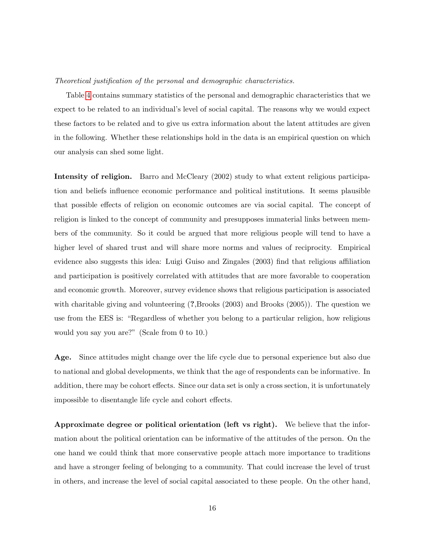#### Theoretical justification of the personal and demographic characteristics.

Table [4](#page-34-0) contains summary statistics of the personal and demographic characteristics that we expect to be related to an individual's level of social capital. The reasons why we would expect these factors to be related and to give us extra information about the latent attitudes are given in the following. Whether these relationships hold in the data is an empirical question on which our analysis can shed some light.

Intensity of religion. Barro and McCleary (2002) study to what extent religious participation and beliefs influence economic performance and political institutions. It seems plausible that possible effects of religion on economic outcomes are via social capital. The concept of religion is linked to the concept of community and presupposes immaterial links between members of the community. So it could be argued that more religious people will tend to have a higher level of shared trust and will share more norms and values of reciprocity. Empirical evidence also suggests this idea: Luigi Guiso and Zingales (2003) find that religious affiliation and participation is positively correlated with attitudes that are more favorable to cooperation and economic growth. Moreover, survey evidence shows that religious participation is associated with charitable giving and volunteering  $(?,Brooks (2003)$  and Brooks  $(2005)$ ). The question we use from the EES is: "Regardless of whether you belong to a particular religion, how religious would you say you are?" (Scale from 0 to 10.)

Age. Since attitudes might change over the life cycle due to personal experience but also due to national and global developments, we think that the age of respondents can be informative. In addition, there may be cohort effects. Since our data set is only a cross section, it is unfortunately impossible to disentangle life cycle and cohort effects.

Approximate degree or political orientation (left vs right). We believe that the information about the political orientation can be informative of the attitudes of the person. On the one hand we could think that more conservative people attach more importance to traditions and have a stronger feeling of belonging to a community. That could increase the level of trust in others, and increase the level of social capital associated to these people. On the other hand,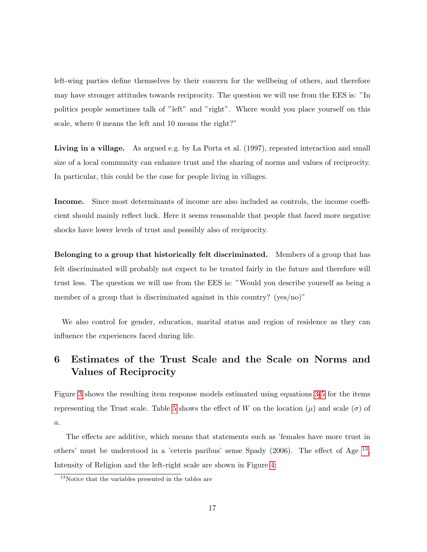left-wing parties define themselves by their concern for the wellbeing of others, and therefore may have stronger attitudes towards reciprocity. The question we will use from the EES is: "In politics people sometimes talk of "left" and "right". Where would you place yourself on this scale, where 0 means the left and 10 means the right?"

Living in a village. As argued e.g. by La Porta et al. (1997), repeated interaction and small size of a local community can enhance trust and the sharing of norms and values of reciprocity. In particular, this could be the case for people living in villages.

Income. Since most determinants of income are also included as controls, the income coefficient should mainly reflect luck. Here it seems reasonable that people that faced more negative shocks have lower levels of trust and possibly also of reciprocity.

Belonging to a group that historically felt discriminated. Members of a group that has felt discriminated will probably not expect to be treated fairly in the future and therefore will trust less. The question we will use from the EES is: "Would you describe yourself as being a member of a group that is discriminated against in this country? (yes/no)"

We also control for gender, education, marital status and region of residence as they can influence the experiences faced during life.

# 6 Estimates of the Trust Scale and the Scale on Norms and Values of Reciprocity

Figure [3](#page-17-0) shows the resulting item response models estimated using equations [3](#page-10-1)[-5](#page-10-2) for the items representing the Trust scale. Table [5](#page-35-0) shows the effect of W on the location  $(\mu)$  and scale  $(\sigma)$  of a.

The effects are additive, which means that statements such as 'females have more trust in others' must be understood in a 'ceteris paribus' sense Spady  $(2006)$ . The effect of Age  $^{13}$  $^{13}$  $^{13}$ , Intensity of Religion and the left-right scale are shown in Figure [4:](#page-19-0)

<span id="page-16-0"></span><sup>&</sup>lt;sup>13</sup>Notice that the variables presented in the tables are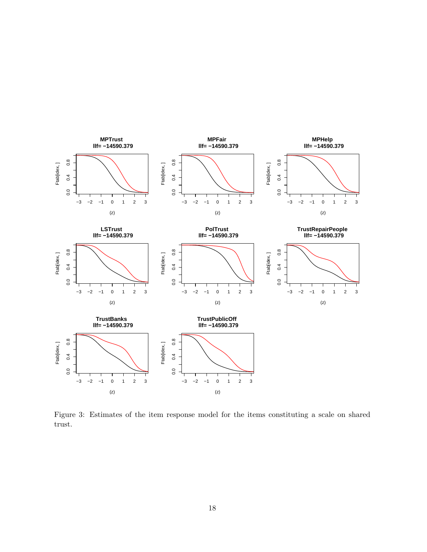

<span id="page-17-0"></span>Figure 3: Estimates of the item response model for the items constituting a scale on shared trust.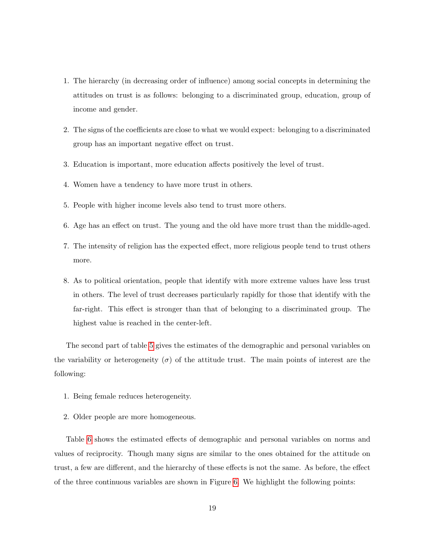- 1. The hierarchy (in decreasing order of influence) among social concepts in determining the attitudes on trust is as follows: belonging to a discriminated group, education, group of income and gender.
- 2. The signs of the coefficients are close to what we would expect: belonging to a discriminated group has an important negative effect on trust.
- 3. Education is important, more education affects positively the level of trust.
- 4. Women have a tendency to have more trust in others.
- 5. People with higher income levels also tend to trust more others.
- 6. Age has an effect on trust. The young and the old have more trust than the middle-aged.
- 7. The intensity of religion has the expected effect, more religious people tend to trust others more.
- 8. As to political orientation, people that identify with more extreme values have less trust in others. The level of trust decreases particularly rapidly for those that identify with the far-right. This effect is stronger than that of belonging to a discriminated group. The highest value is reached in the center-left.

The second part of table [5](#page-35-0) gives the estimates of the demographic and personal variables on the variability or heterogeneity ( $\sigma$ ) of the attitude trust. The main points of interest are the following:

- 1. Being female reduces heterogeneity.
- 2. Older people are more homogeneous.

Table [6](#page-36-0) shows the estimated effects of demographic and personal variables on norms and values of reciprocity. Though many signs are similar to the ones obtained for the attitude on trust, a few are different, and the hierarchy of these effects is not the same. As before, the effect of the three continuous variables are shown in Figure [6.](#page-22-0) We highlight the following points: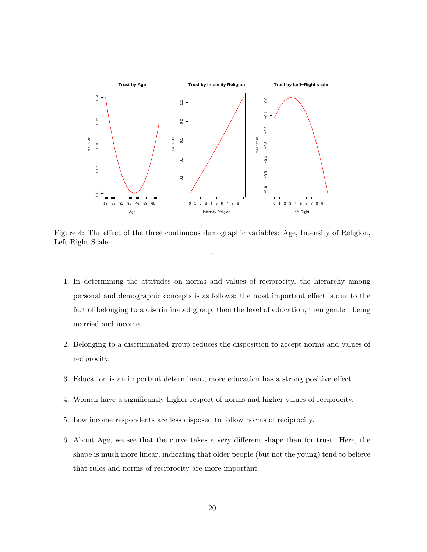

<span id="page-19-0"></span>Figure 4: The effect of the three continuous demographic variables: Age, Intensity of Religion, Left-Right Scale .

- 1. In determining the attitudes on norms and values of reciprocity, the hierarchy among personal and demographic concepts is as follows: the most important effect is due to the fact of belonging to a discriminated group, then the level of education, then gender, being married and income.
- 2. Belonging to a discriminated group reduces the disposition to accept norms and values of reciprocity.
- 3. Education is an important determinant, more education has a strong positive effect.
- 4. Women have a significantly higher respect of norms and higher values of reciprocity.
- 5. Low income respondents are less disposed to follow norms of reciprocity.
- 6. About Age, we see that the curve takes a very different shape than for trust. Here, the shape is much more linear, indicating that older people (but not the young) tend to believe that rules and norms of reciprocity are more important.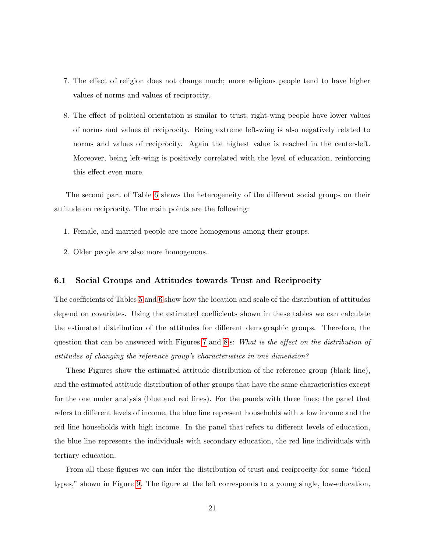- 7. The effect of religion does not change much; more religious people tend to have higher values of norms and values of reciprocity.
- 8. The effect of political orientation is similar to trust; right-wing people have lower values of norms and values of reciprocity. Being extreme left-wing is also negatively related to norms and values of reciprocity. Again the highest value is reached in the center-left. Moreover, being left-wing is positively correlated with the level of education, reinforcing this effect even more.

The second part of Table [6](#page-36-0) shows the heterogeneity of the different social groups on their attitude on reciprocity. The main points are the following:

- 1. Female, and married people are more homogenous among their groups.
- 2. Older people are also more homogenous.

#### 6.1 Social Groups and Attitudes towards Trust and Reciprocity

The coefficients of Tables [5](#page-35-0) and [6](#page-36-0) show how the location and scale of the distribution of attitudes depend on covariates. Using the estimated coefficients shown in these tables we can calculate the estimated distribution of the attitudes for different demographic groups. Therefore, the question that can be answered with Figures [7](#page-23-0) and [8i](#page-24-0)s: What is the effect on the distribution of attitudes of changing the reference group's characteristics in one dimension?

These Figures show the estimated attitude distribution of the reference group (black line), and the estimated attitude distribution of other groups that have the same characteristics except for the one under analysis (blue and red lines). For the panels with three lines; the panel that refers to different levels of income, the blue line represent households with a low income and the red line households with high income. In the panel that refers to different levels of education, the blue line represents the individuals with secondary education, the red line individuals with tertiary education.

From all these figures we can infer the distribution of trust and reciprocity for some "ideal types," shown in Figure [9.](#page-25-0) The figure at the left corresponds to a young single, low-education,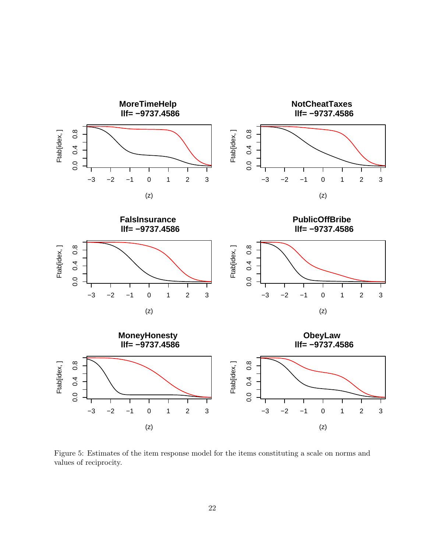

Figure 5: Estimates of the item response model for the items constituting a scale on norms and values of reciprocity.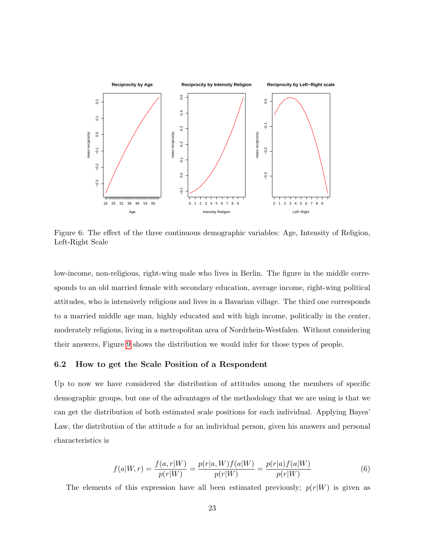

<span id="page-22-0"></span>Figure 6: The effect of the three continuous demographic variables: Age, Intensity of Religion, Left-Right Scale

low-income, non-religious, right-wing male who lives in Berlin. The figure in the middle corresponds to an old married female with secondary education, average income, right-wing political attitudes, who is intensively religious and lives in a Bavarian village. The third one corresponds to a married middle age man, highly educated and with high income, politically in the center, moderately religious, living in a metropolitan area of Nordrhein-Westfalen. Without considering their answers, Figure [9](#page-25-0) shows the distribution we would infer for those types of people.

### 6.2 How to get the Scale Position of a Respondent

Up to now we have considered the distribution of attitudes among the members of specific demographic groups, but one of the advantages of the methodology that we are using is that we can get the distribution of both estimated scale positions for each individual. Applying Bayes' Law, the distribution of the attitude  $\alpha$  for an individual person, given his answers and personal characteristics is

$$
f(a|W,r) = \frac{f(a,r|W)}{p(r|W)} = \frac{p(r|a,W)f(a|W)}{p(r|W)} = \frac{p(r|a)f(a|W)}{p(r|W)}\tag{6}
$$

The elements of this expression have all been estimated previously;  $p(r|W)$  is given as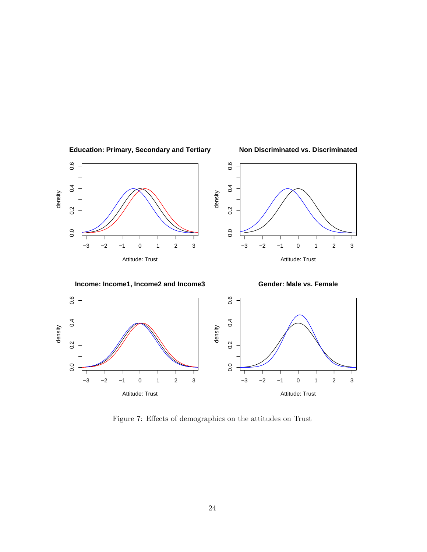

**Education: Primary, Secondary and Tertiary**

−3 −2 −1 0 1 2 3

 $0.0$ 

<span id="page-23-0"></span>Attitude: Trust

**Non Discriminated vs. Discriminated**

−3 −2 −1 0 1 2 3

Attitude: Trust

Figure 7: Effects of demographics on the attitudes on Trust

 $\overline{0}$ .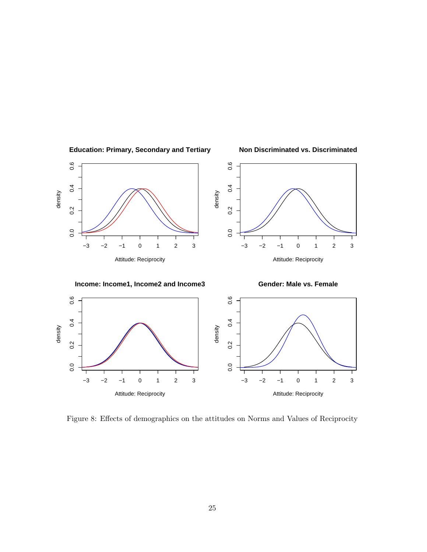

<span id="page-24-0"></span>Figure 8: Effects of demographics on the attitudes on Norms and Values of Reciprocity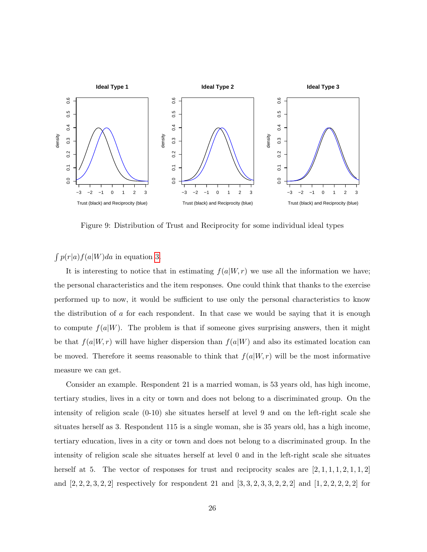

<span id="page-25-0"></span>Figure 9: Distribution of Trust and Reciprocity for some individual ideal types

 $\int p(r|a) f(a|W) da$  in equation [3.](#page-10-1)

It is interesting to notice that in estimating  $f(a|W, r)$  we use all the information we have; the personal characteristics and the item responses. One could think that thanks to the exercise performed up to now, it would be sufficient to use only the personal characteristics to know the distribution of  $\alpha$  for each respondent. In that case we would be saying that it is enough to compute  $f(a|W)$ . The problem is that if someone gives surprising answers, then it might be that  $f(a|W, r)$  will have higher dispersion than  $f(a|W)$  and also its estimated location can be moved. Therefore it seems reasonable to think that  $f(a|W,r)$  will be the most informative measure we can get.

Consider an example. Respondent 21 is a married woman, is 53 years old, has high income, tertiary studies, lives in a city or town and does not belong to a discriminated group. On the intensity of religion scale (0-10) she situates herself at level 9 and on the left-right scale she situates herself as 3. Respondent 115 is a single woman, she is 35 years old, has a high income, tertiary education, lives in a city or town and does not belong to a discriminated group. In the intensity of religion scale she situates herself at level 0 and in the left-right scale she situates herself at 5. The vector of responses for trust and reciprocity scales are  $[2, 1, 1, 1, 2, 1, 1, 2]$ and  $[2, 2, 2, 3, 2, 2]$  respectively for respondent 21 and  $[3, 3, 2, 3, 3, 2, 2, 2]$  and  $[1, 2, 2, 2, 2, 2]$  for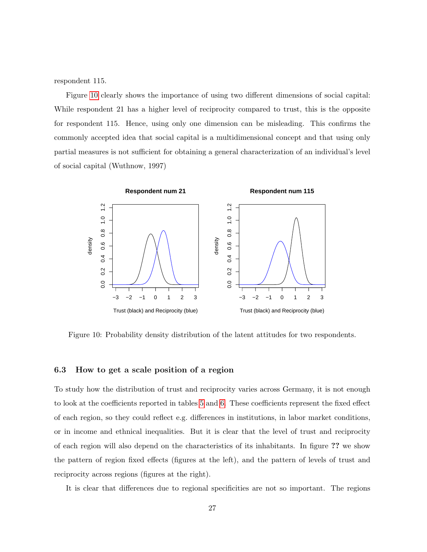respondent 115.

Figure [10](#page-26-0) clearly shows the importance of using two different dimensions of social capital: While respondent 21 has a higher level of reciprocity compared to trust, this is the opposite for respondent 115. Hence, using only one dimension can be misleading. This confirms the commonly accepted idea that social capital is a multidimensional concept and that using only partial measures is not sufficient for obtaining a general characterization of an individual's level of social capital (Wuthnow, 1997)



<span id="page-26-0"></span>Figure 10: Probability density distribution of the latent attitudes for two respondents.

### 6.3 How to get a scale position of a region

To study how the distribution of trust and reciprocity varies across Germany, it is not enough to look at the coefficients reported in tables [5](#page-35-0) and [6.](#page-36-0) These coefficients represent the fixed effect of each region, so they could reflect e.g. differences in institutions, in labor market conditions, or in income and ethnical inequalities. But it is clear that the level of trust and reciprocity of each region will also depend on the characteristics of its inhabitants. In figure ?? we show the pattern of region fixed effects (figures at the left), and the pattern of levels of trust and reciprocity across regions (figures at the right).

It is clear that differences due to regional specificities are not so important. The regions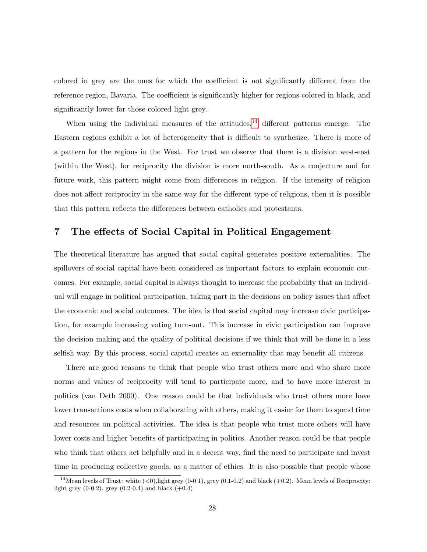colored in grey are the ones for which the coefficient is not significantly different from the reference region, Bavaria. The coefficient is significantly higher for regions colored in black, and significantly lower for those colored light grey.

When using the individual measures of the attitudes,  $^{14}$  $^{14}$  $^{14}$  different patterns emerge. The Eastern regions exhibit a lot of heterogeneity that is difficult to synthesize. There is more of a pattern for the regions in the West. For trust we observe that there is a division west-east (within the West), for reciprocity the division is more north-south. As a conjecture and for future work, this pattern might come from differences in religion. If the intensity of religion does not affect reciprocity in the same way for the different type of religions, then it is possible that this pattern reflects the differences between catholics and protestants.

# 7 The effects of Social Capital in Political Engagement

The theoretical literature has argued that social capital generates positive externalities. The spillovers of social capital have been considered as important factors to explain economic outcomes. For example, social capital is always thought to increase the probability that an individual will engage in political participation, taking part in the decisions on policy issues that affect the economic and social outcomes. The idea is that social capital may increase civic participation, for example increasing voting turn-out. This increase in civic participation can improve the decision making and the quality of political decisions if we think that will be done in a less selfish way. By this process, social capital creates an externality that may benefit all citizens.

There are good reasons to think that people who trust others more and who share more norms and values of reciprocity will tend to participate more, and to have more interest in politics (van Deth 2000). One reason could be that individuals who trust others more have lower transactions costs when collaborating with others, making it easier for them to spend time and resources on political activities. The idea is that people who trust more others will have lower costs and higher benefits of participating in politics. Another reason could be that people who think that others act helpfully and in a decent way, find the need to participate and invest time in producing collective goods, as a matter of ethics. It is also possible that people whose

<span id="page-27-0"></span><sup>&</sup>lt;sup>14</sup> Mean levels of Trust: white  $(<0)$ , light grey  $(0.0.1)$ , grey  $(0.1-0.2)$  and black  $(+0.2)$ . Mean levels of Reciprocity: light grey  $(0-0.2)$ , grey  $(0.2-0.4)$  and black  $(+0.4)$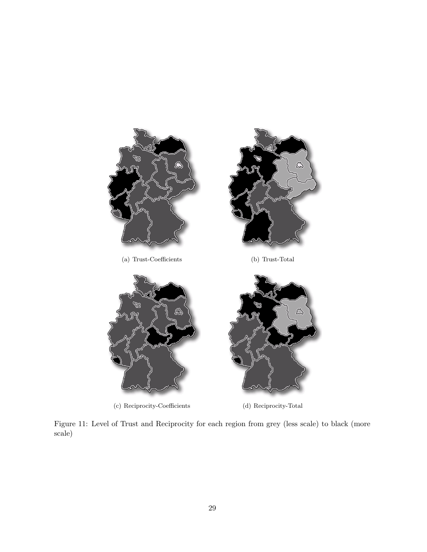

Figure 11: Level of Trust and Reciprocity for each region from grey (less scale) to black (more scale)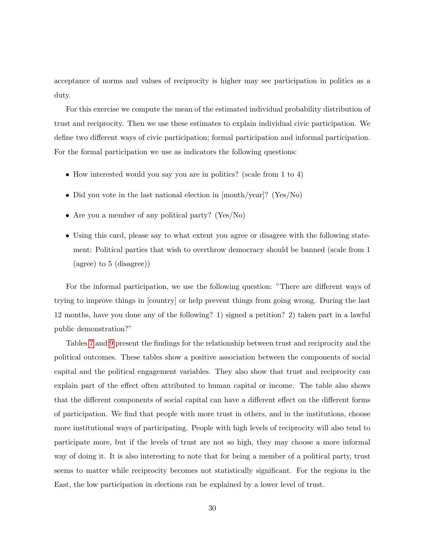acceptance of norms and values of reciprocity is higher may see participation in politics as a duty.

For this exercise we compute the mean of the estimated individual probability distribution of trust and reciprocity. Then we use these estimates to explain individual civic participation. We define two different ways of civic participation; formal participation and informal participation. For the formal participation we use as indicators the following questions:

- How interested would you say you are in politics? (scale from 1 to 4)
- Did you vote in the last national election in  $\frac{1}{2}$  (Yes/No)
- Are you a member of any political party? (Yes/No)
- Using this card, please say to what extent you agree or disagree with the following statement: Political parties that wish to overthrow democracy should be banned (scale from 1 (agree) to 5 (disagree))

For the informal participation, we use the following question: "There are different ways of trying to improve things in [country] or help prevent things from going wrong. During the last 12 months, have you done any of the following? 1) signed a petition? 2) taken part in a lawful public demonstration?"

Tables [7](#page-37-0) and [9](#page-39-0) present the findings for the relationship between trust and reciprocity and the political outcomes. These tables show a positive association between the components of social capital and the political engagement variables. They also show that trust and reciprocity can explain part of the effect often attributed to human capital or income. The table also shows that the different components of social capital can have a different effect on the different forms of participation. We find that people with more trust in others, and in the institutions, choose more institutional ways of participating. People with high levels of reciprocity will also tend to participate more, but if the levels of trust are not so high, they may choose a more informal way of doing it. It is also interesting to note that for being a member of a political party, trust seems to matter while reciprocity becomes not statistically significant. For the regions in the East, the low participation in elections can be explained by a lower level of trust.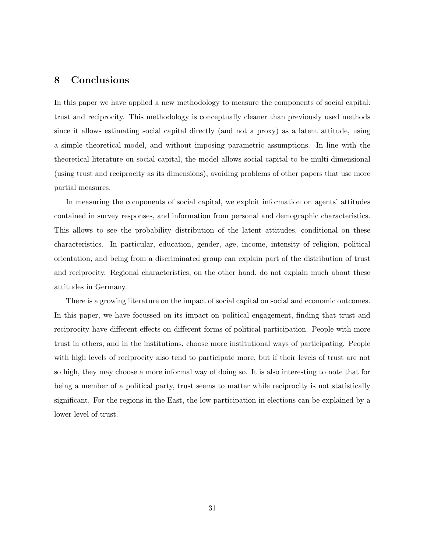## 8 Conclusions

In this paper we have applied a new methodology to measure the components of social capital: trust and reciprocity. This methodology is conceptually cleaner than previously used methods since it allows estimating social capital directly (and not a proxy) as a latent attitude, using a simple theoretical model, and without imposing parametric assumptions. In line with the theoretical literature on social capital, the model allows social capital to be multi-dimensional (using trust and reciprocity as its dimensions), avoiding problems of other papers that use more partial measures.

In measuring the components of social capital, we exploit information on agents' attitudes contained in survey responses, and information from personal and demographic characteristics. This allows to see the probability distribution of the latent attitudes, conditional on these characteristics. In particular, education, gender, age, income, intensity of religion, political orientation, and being from a discriminated group can explain part of the distribution of trust and reciprocity. Regional characteristics, on the other hand, do not explain much about these attitudes in Germany.

There is a growing literature on the impact of social capital on social and economic outcomes. In this paper, we have focussed on its impact on political engagement, finding that trust and reciprocity have different effects on different forms of political participation. People with more trust in others, and in the institutions, choose more institutional ways of participating. People with high levels of reciprocity also tend to participate more, but if their levels of trust are not so high, they may choose a more informal way of doing so. It is also interesting to note that for being a member of a political party, trust seems to matter while reciprocity is not statistically significant. For the regions in the East, the low participation in elections can be explained by a lower level of trust.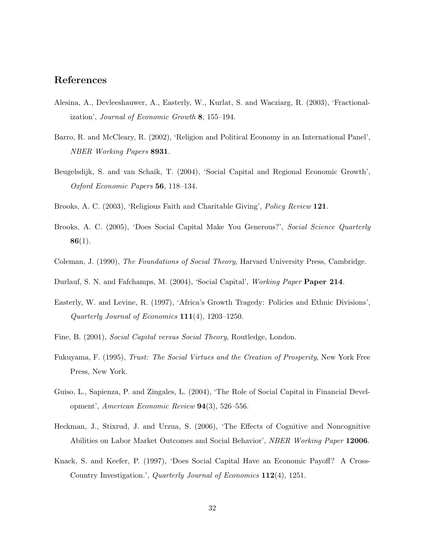## References

- Alesina, A., Devleeshauwer, A., Easterly, W., Kurlat, S. and Wacziarg, R. (2003), 'Fractionalization', Journal of Economic Growth 8, 155–194.
- Barro, R. and McCleary, R. (2002), 'Religion and Political Economy in an International Panel', NBER Working Papers 8931.
- Beugelsdijk, S. and van Schaik, T. (2004), 'Social Capital and Regional Economic Growth', Oxford Economic Papers 56, 118–134.
- Brooks, A. C. (2003), 'Religious Faith and Charitable Giving', Policy Review 121.
- Brooks, A. C. (2005), 'Does Social Capital Make You Generous?', Social Science Quarterly  $86(1).$
- Coleman, J. (1990), The Foundations of Social Theory, Harvard University Press, Cambridge.
- Durlauf, S. N. and Fafchamps, M. (2004), 'Social Capital', Working Paper Paper 214.
- Easterly, W. and Levine, R. (1997), 'Africa's Growth Tragedy: Policies and Ethnic Divisions', Quarterly Journal of Economics 111(4), 1203–1250.
- Fine, B. (2001), Social Capital versus Social Theory, Routledge, London.
- Fukuyama, F. (1995), Trust: The Social Virtues and the Creation of Prosperity, New York Free Press, New York.
- Guiso, L., Sapienza, P. and Zingales, L. (2004), 'The Role of Social Capital in Financial Development', American Economic Review 94(3), 526–556.
- Heckman, J., Stixrud, J. and Urzua, S. (2006), 'The Effects of Cognitive and Noncognitive Abilities on Labor Market Outcomes and Social Behavior', NBER Working Paper 12006.
- Knack, S. and Keefer, P. (1997), 'Does Social Capital Have an Economic Payoff? A Cross-Country Investigation.', Quarterly Journal of Economics 112(4), 1251.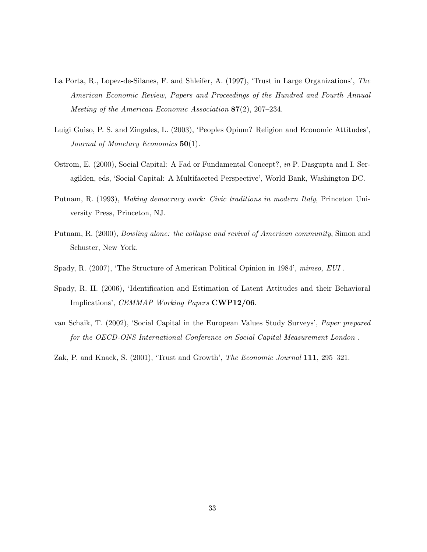- La Porta, R., Lopez-de-Silanes, F. and Shleifer, A. (1997), 'Trust in Large Organizations', The American Economic Review, Papers and Proceedings of the Hundred and Fourth Annual Meeting of the American Economic Association 87(2), 207–234.
- Luigi Guiso, P. S. and Zingales, L. (2003), 'Peoples Opium? Religion and Economic Attitudes', Journal of Monetary Economics  $50(1)$ .
- Ostrom, E. (2000), Social Capital: A Fad or Fundamental Concept?, in P. Dasgupta and I. Seragilden, eds, 'Social Capital: A Multifaceted Perspective', World Bank, Washington DC.
- Putnam, R. (1993), Making democracy work: Civic traditions in modern Italy, Princeton University Press, Princeton, NJ.
- Putnam, R. (2000), Bowling alone: the collapse and revival of American community, Simon and Schuster, New York.
- Spady, R. (2007), 'The Structure of American Political Opinion in 1984', mimeo, EUI.
- Spady, R. H. (2006), 'Identification and Estimation of Latent Attitudes and their Behavioral Implications', CEMMAP Working Papers CWP12/06.
- van Schaik, T. (2002), 'Social Capital in the European Values Study Surveys', Paper prepared for the OECD-ONS International Conference on Social Capital Measurement London .

Zak, P. and Knack, S. (2001), 'Trust and Growth', The Economic Journal 111, 295–321.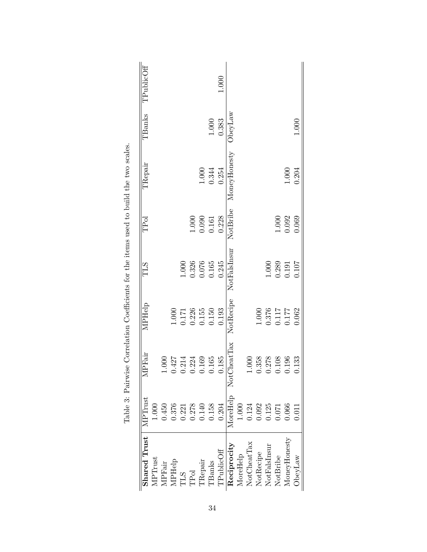| <b>Shared Trust</b>     | ${\rm MPTrust}$ | <b>IPFair</b> | MPHelp           | <b>TLS</b>   | TPol     | TRepair      | TBanks  | TPublicOff |
|-------------------------|-----------------|---------------|------------------|--------------|----------|--------------|---------|------------|
| MPTrust                 | 1.000           |               |                  |              |          |              |         |            |
| <b>MPFair</b>           | 0.450           | 000           |                  |              |          |              |         |            |
| <b>MPHelp</b>           | 0.376           | 1427          | $1.000$          |              |          |              |         |            |
| TLS<br>TPol<br>TRepair  | 0.221           | 0.214         | $0.171\,$        | $1.000$      |          |              |         |            |
|                         | 0.278           | 0.224         | 0.226            | 0.326        | 1.000    |              |         |            |
|                         | 0.140           | 0.169         | 0.155            | 0.076        | 0.090    | 1.000        |         |            |
| $\rm{TBanks}$           | 0.158           | 0.165         | 0.150            | 0.165        | 0.161    | 0.344        | $1.000$ |            |
| $\Gamma \rm{PublicOff}$ | 0.204           | 0.185         | 0.193            | 0.245        | 0.228    | 0.254        | 0.383   | 1.000      |
| Reciprocity             | MoreHelp        | NotCheatTax   | NotRecipe        | NotFalsInsur | NotBribe | MoneyHonesty | ObeyLaw |            |
| MoreHelp                | 1.000           |               |                  |              |          |              |         |            |
| NotCheatTax             | 0.124           | .000          |                  |              |          |              |         |            |
| NotRecipe               | 0.092           | 358           | 1.000            |              |          |              |         |            |
| NotFalsInsur            | 0.125           | 0.278         | $0.376$<br>0.117 | 1.000        |          |              |         |            |
| NotBribe                | 1.071           | 0.108         |                  | 0.289        | 1.000    |              |         |            |
| MoneyHonesty            | 0.066           | 0.196         | 177              | 0.191        | 0.092    | $1.000$      |         |            |
| JbeyLaw                 | 0.011           | 1.133         | 0.062            | 0.107        | 0.069    | 0.204        | 1.000   |            |

<span id="page-33-0"></span>Table 3: Pairwise Correlation Coefficients for the items used to build the two scales. Table 3: Pairwise Correlation Coefficients for the items used to build the two scales.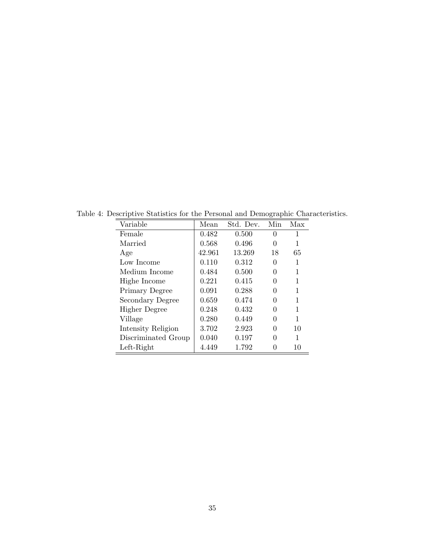<span id="page-34-0"></span>

| Variable             | Mean   | Std. Dev. | Min      | Max |
|----------------------|--------|-----------|----------|-----|
| Female               | 0.482  | 0.500     | 0        | 1   |
| Married              | 0.568  | 0.496     | $\theta$ | 1   |
| Age                  | 42.961 | 13.269    | 18       | 65  |
| Low Income           | 0.110  | 0.312     | 0        | 1   |
| Medium Income        | 0.484  | 0.500     | 0        | 1   |
| Highe Income         | 0.221  | 0.415     | 0        | 1   |
| Primary Degree       | 0.091  | 0.288     | 0        | 1   |
| Secondary Degree     | 0.659  | 0.474     | 0        | 1   |
| <b>Higher Degree</b> | 0.248  | 0.432     | 0        | 1   |
| Village              | 0.280  | 0.449     | 0        | 1   |
| Intensity Religion   | 3.702  | 2.923     | 0        | 10  |
| Discriminated Group  | 0.040  | 0.197     | 0        | 1   |
| $Left-Right$         | 4.449  | 1.792     | 0        | 10  |

Table 4: Descriptive Statistics for the Personal and Demographic Characteristics.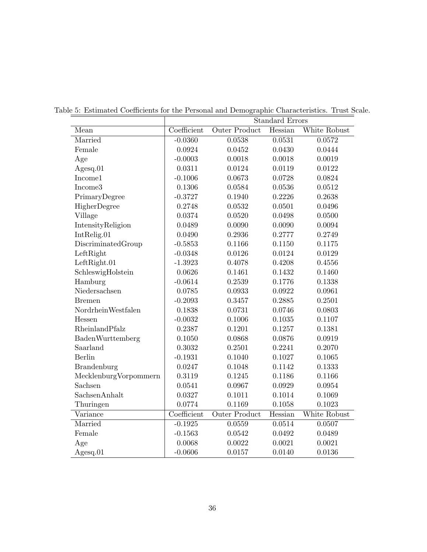<span id="page-35-0"></span>

|                       |             |                      | <b>Standard Errors</b> |              |
|-----------------------|-------------|----------------------|------------------------|--------------|
| Mean                  | Coefficient | <b>Outer Product</b> | Hessian                | White Robust |
| Married               | $-0.0360$   | 0.0538               | 0.0531                 | 0.0572       |
| Female                | 0.0924      | 0.0452               | 0.0430                 | 0.0444       |
| Age                   | $-0.0003$   | 0.0018               | 0.0018                 | 0.0019       |
| Agesq.01              | 0.0311      | 0.0124               | 0.0119                 | 0.0122       |
| Income1               | $-0.1006$   | 0.0673               | 0.0728                 | 0.0824       |
| Income3               | 0.1306      | 0.0584               | 0.0536                 | 0.0512       |
| PrimaryDegree         | $-0.3727$   | 0.1940               | 0.2226                 | 0.2638       |
| HigherDegree          | 0.2748      | 0.0532               | 0.0501                 | 0.0496       |
| Village               | 0.0374      | 0.0520               | 0.0498                 | 0.0500       |
| IntensityReligion     | 0.0489      | 0.0090               | 0.0090                 | 0.0094       |
| IntRelig.01           | 0.0490      | 0.2936               | 0.2777                 | 0.2749       |
| DiscriminatedGroup    | $-0.5853$   | 0.1166               | 0.1150                 | 0.1175       |
| LeftRight             | $-0.0348$   | 0.0126               | 0.0124                 | 0.0129       |
| LeftRight.01          | $-1.3923$   | 0.4078               | 0.4208                 | 0.4556       |
| SchleswigHolstein     | 0.0626      | 0.1461               | 0.1432                 | 0.1460       |
| Hamburg               | $-0.0614$   | 0.2539               | 0.1776                 | 0.1338       |
| Niedersachsen         | 0.0785      | 0.0933               | 0.0922                 | 0.0961       |
| <b>Bremen</b>         | $-0.2093$   | 0.3457               | 0.2885                 | 0.2501       |
| NordrheinWestfalen    | 0.1838      | 0.0731               | 0.0746                 | 0.0803       |
| Hessen                | $-0.0032$   | 0.1006               | 0.1035                 | 0.1107       |
| RheinlandPfalz        | 0.2387      | 0.1201               | 0.1257                 | 0.1381       |
| BadenWurttemberg      | 0.1050      | 0.0868               | 0.0876                 | 0.0919       |
| Saarland              | 0.3032      | 0.2501               | 0.2241                 | 0.2070       |
| <b>Berlin</b>         | $-0.1931$   | 0.1040               | 0.1027                 | 0.1065       |
| <b>Brandenburg</b>    | 0.0247      | 0.1048               | 0.1142                 | 0.1333       |
| MecklenburgVorpommern | 0.3119      | 0.1245               | 0.1186                 | 0.1166       |
| Sachsen               | 0.0541      | 0.0967               | 0.0929                 | 0.0954       |
| SachsenAnhalt         | 0.0327      | 0.1011               | 0.1014                 | 0.1069       |
| Thuringen             | 0.0774      | 0.1169               | 0.1058                 | 0.1023       |
| Variance              | Coefficient | <b>Outer Product</b> | Hessian                | White Robust |
| Married               | $-0.1925$   | 0.0559               | 0.0514                 | 0.0507       |
| Female                | $-0.1563$   | 0.0542               | 0.0492                 | 0.0489       |
| Age                   | 0.0068      | 0.0022               | 0.0021                 | 0.0021       |
| $A$ gesq.01           | $-0.0606$   | 0.0157               | 0.0140                 | 0.0136       |

Table 5: Estimated Coefficients for the Personal and Demographic Characteristics. Trust Scale.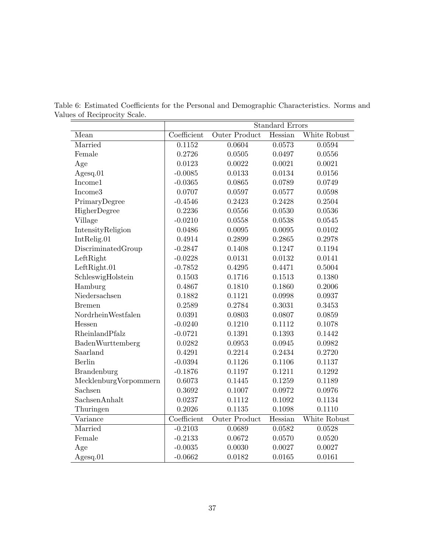<span id="page-36-0"></span>

|                       |             |                      | <b>Standard Errors</b> |              |
|-----------------------|-------------|----------------------|------------------------|--------------|
| Mean                  | Coefficient | Outer Product        | Hessian                | White Robust |
| Married               | 0.1152      | 0.0604               | 0.0573                 | 0.0594       |
| Female                | 0.2726      | 0.0505               | 0.0497                 | 0.0556       |
| Age                   | 0.0123      | 0.0022               | 0.0021                 | 0.0021       |
| $A$ gesq.01           | $-0.0085$   | 0.0133               | 0.0134                 | 0.0156       |
| Income1               | $-0.0365$   | 0.0865               | 0.0789                 | 0.0749       |
| Income3               | 0.0707      | 0.0597               | 0.0577                 | 0.0598       |
| PrimaryDegree         | $-0.4546$   | 0.2423               | 0.2428                 | 0.2504       |
| HigherDegree          | 0.2236      | 0.0556               | 0.0530                 | 0.0536       |
| Village               | $-0.0210$   | 0.0558               | 0.0538                 | 0.0545       |
| IntensityReligion     | 0.0486      | 0.0095               | 0.0095                 | 0.0102       |
| IntRelig.01           | 0.4914      | 0.2899               | 0.2865                 | 0.2978       |
| DiscriminatedGroup    | $-0.2847$   | 0.1408               | 0.1247                 | 0.1194       |
| LeftRight             | $-0.0228$   | 0.0131               | 0.0132                 | 0.0141       |
| LeftRight.01          | $-0.7852$   | 0.4295               | 0.4471                 | 0.5004       |
| SchleswigHolstein     | 0.1503      | 0.1716               | 0.1513                 | 0.1380       |
| Hamburg               | 0.4867      | 0.1810               | 0.1860                 | 0.2006       |
| Niedersachsen         | 0.1882      | 0.1121               | 0.0998                 | 0.0937       |
| <b>Bremen</b>         | 0.2589      | 0.2784               | 0.3031                 | 0.3453       |
| NordrheinWestfalen    | 0.0391      | 0.0803               | 0.0807                 | 0.0859       |
| Hessen                | $-0.0240$   | 0.1210               | 0.1112                 | 0.1078       |
| RheinlandPfalz        | $-0.0721$   | 0.1391               | 0.1393                 | 0.1442       |
| BadenWurttemberg      | 0.0282      | 0.0953               | 0.0945                 | 0.0982       |
| Saarland              | 0.4291      | 0.2214               | 0.2434                 | 0.2720       |
| Berlin                | $-0.0394$   | 0.1126               | 0.1106                 | 0.1137       |
| <b>Brandenburg</b>    | $-0.1876$   | 0.1197               | 0.1211                 | 0.1292       |
| MecklenburgVorpommern | 0.6073      | 0.1445               | 0.1259                 | 0.1189       |
| Sachsen               | 0.3692      | 0.1007               | 0.0972                 | 0.0976       |
| SachsenAnhalt         | 0.0237      | 0.1112               | 0.1092                 | 0.1134       |
| Thuringen             | 0.2026      | 0.1135               | 0.1098                 | 0.1110       |
| Variance              | Coefficient | <b>Outer Product</b> | Hessian                | White Robust |
| Married               | $-0.2103$   | 0.0689               | 0.0582                 | 0.0528       |
| Female                | $-0.2133$   | 0.0672               | 0.0570                 | 0.0520       |
| Age                   | $-0.0035$   | 0.0030               | 0.0027                 | 0.0027       |
| $A$ gesq.01           | $-0.0662$   | 0.0182               | 0.0165                 | 0.0161       |

Table 6: Estimated Coefficients for the Personal and Demographic Characteristics. Norms and Values of Reciprocity Scale.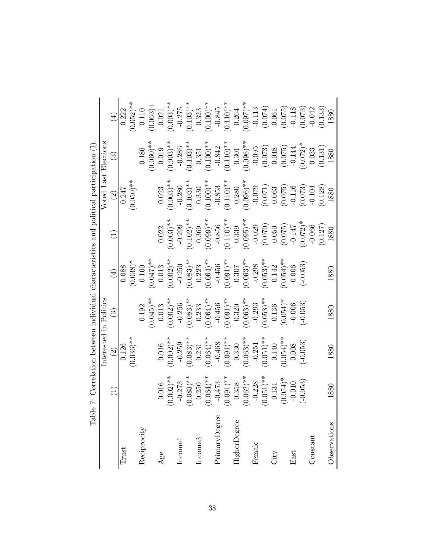| Tabl. | $\Phi$                                                                                   | 7: Correlation between individual characteristics and political participation (I)           |                                                                                                                                                                                                                                                                                                                                   |                                                                |                                                                                                                                                                                                                                            |                                                                                                                                                                                                                         |                                                                                                                                                                                                                                                                                                                             |                                                                                                                              |
|-------|------------------------------------------------------------------------------------------|---------------------------------------------------------------------------------------------|-----------------------------------------------------------------------------------------------------------------------------------------------------------------------------------------------------------------------------------------------------------------------------------------------------------------------------------|----------------------------------------------------------------|--------------------------------------------------------------------------------------------------------------------------------------------------------------------------------------------------------------------------------------------|-------------------------------------------------------------------------------------------------------------------------------------------------------------------------------------------------------------------------|-----------------------------------------------------------------------------------------------------------------------------------------------------------------------------------------------------------------------------------------------------------------------------------------------------------------------------|------------------------------------------------------------------------------------------------------------------------------|
|       | $\widehat{\Xi}$                                                                          | Interested in Politics<br>$\widehat{\infty}$                                                | $\widetilde{\mathbb{C}}$                                                                                                                                                                                                                                                                                                          | $\bigoplus$                                                    | $\widehat{\Xi}$                                                                                                                                                                                                                            | $\widehat{\mathfrak{S}}$                                                                                                                                                                                                | Voted Last Elections<br>$\odot$                                                                                                                                                                                                                                                                                             | $\left( \frac{1}{2} \right)$                                                                                                 |
|       |                                                                                          | 0.126                                                                                       |                                                                                                                                                                                                                                                                                                                                   | 0.088                                                          |                                                                                                                                                                                                                                            | 0.247                                                                                                                                                                                                                   |                                                                                                                                                                                                                                                                                                                             | 0.222                                                                                                                        |
|       |                                                                                          | $(0.036)$ **                                                                                |                                                                                                                                                                                                                                                                                                                                   | $(0.038)*$                                                     |                                                                                                                                                                                                                                            | $(0.050)*$                                                                                                                                                                                                              |                                                                                                                                                                                                                                                                                                                             | $0.052$ <sup>**</sup>                                                                                                        |
|       |                                                                                          |                                                                                             | 0.192                                                                                                                                                                                                                                                                                                                             | $0.160\,$                                                      |                                                                                                                                                                                                                                            |                                                                                                                                                                                                                         | 0.186                                                                                                                                                                                                                                                                                                                       | 0.110                                                                                                                        |
|       |                                                                                          |                                                                                             | $(0.045)$ **                                                                                                                                                                                                                                                                                                                      | (750.0)                                                        |                                                                                                                                                                                                                                            |                                                                                                                                                                                                                         | $(0.060)$ *                                                                                                                                                                                                                                                                                                                 | $(0.063) +$                                                                                                                  |
|       | 0.016                                                                                    | $0.016\,$                                                                                   | $0.013\,$                                                                                                                                                                                                                                                                                                                         | 0.013                                                          | 0.022                                                                                                                                                                                                                                      | 0.023                                                                                                                                                                                                                   | 0.019                                                                                                                                                                                                                                                                                                                       | 0.021                                                                                                                        |
|       | $0.002$ <sup>**</sup>                                                                    | $(0.002)$ *                                                                                 |                                                                                                                                                                                                                                                                                                                                   | $(0.002)$ **                                                   | $(0.003)$ **                                                                                                                                                                                                                               | $(0.003)$ **                                                                                                                                                                                                            | $(0.003)$ *                                                                                                                                                                                                                                                                                                                 |                                                                                                                              |
|       |                                                                                          |                                                                                             |                                                                                                                                                                                                                                                                                                                                   |                                                                |                                                                                                                                                                                                                                            |                                                                                                                                                                                                                         |                                                                                                                                                                                                                                                                                                                             |                                                                                                                              |
|       | $\begin{array}{r} -0.273 \ (0.083)^{**} \ 0.250 \ (0.064)^{**} \end{array}$              | $\begin{array}{c} -0.259 \ (0.083)^{**} \ 0.231 \ 0.231 \end{array}$                        |                                                                                                                                                                                                                                                                                                                                   | $-0.250$<br>(0.083) **<br>0.223<br>(0.064) **                  | $\begin{array}{c} -0.299 \ (0.102) * \ 0.369 \ (0.099) * \end{array}$                                                                                                                                                                      | $\begin{array}{c} -0.280 \\ (0.103) * \ 0.330 \\ \end{array}$<br>(0.103)                                                                                                                                                | $\begin{array}{c} -0.286 \ (0.103)^{**} \ 0.351 \ (0.100)^{**} \end{array}$                                                                                                                                                                                                                                                 | $(0.003)$ <sup>**</sup><br>-0.275<br>-0.103) <sup>**</sup>                                                                   |
|       |                                                                                          |                                                                                             |                                                                                                                                                                                                                                                                                                                                   |                                                                |                                                                                                                                                                                                                                            |                                                                                                                                                                                                                         |                                                                                                                                                                                                                                                                                                                             |                                                                                                                              |
|       |                                                                                          |                                                                                             |                                                                                                                                                                                                                                                                                                                                   |                                                                |                                                                                                                                                                                                                                            |                                                                                                                                                                                                                         |                                                                                                                                                                                                                                                                                                                             | $0.323$<br>$(0.100)$ **                                                                                                      |
|       |                                                                                          | $-0.468$                                                                                    |                                                                                                                                                                                                                                                                                                                                   |                                                                |                                                                                                                                                                                                                                            |                                                                                                                                                                                                                         |                                                                                                                                                                                                                                                                                                                             |                                                                                                                              |
|       | $^{-(0.473}_{(0.091)^{**}}$                                                              | $(0.091)$ **                                                                                | $\begin{array}{l} \text{\#} \text{\#} \\[-2.0ex] -0.256 \\[-2.0ex] -0.256 \\[-2.0ex] -0.233 \\[-2.0ex] -0.233 \\[-2.0ex] -0.456 \\[-2.0ex] -0.320 \\[-2.0ex] -0.320 \\[-2.0ex] -0.293 \\[-2.0ex] -0.293 \\[-2.0ex] -0.293 \\[-2.0ex] -0.293 \\[-2.0ex] -0.293 \\[-2.0ex] -0.293 \\[-2.0ex] -0.293 \\[-2.0ex] -0.293 \\[-2.0ex] -$ | $(0.091)$ **                                                   | $\begin{array}{c} -0.856 \\ (0.110) \ast \ast \\ (0.339 \\ (0.055) \ast \\ (0.070) \\ (0.070) \\ (0.070) \\ (0.071) \\ (0.072) \\ (0.072) \ast \\ (0.072) \\ (0.0147 \\ (0.0127) \\ (0.0127) \\ (0.127) \\ (0.127) \\ 1880 \\ \end{array}$ | $\begin{array}{c} -0.853 \\ -0.253 \\ (0.110) * \\ 0.280 \\ (0.096) * \\ (0.071) \\ (0.071) \\ (0.075) \\ (0.075) \\ (0.075) \\ (0.073) \\ (0.073) \\ (0.0104) \\ (0.0128) \\ (0.128) \\ 1.280 \\ 1.880 \\ \end{array}$ | $\begin{array}{c} -0.842 \\ (0.110)^{**} \\ (0.301 \\ (0.096)^{*+} \\ (0.073) \\ (0.073) \\ (0.072) \\ (0.072) \\ (0.072)^{*} \\ (0.072)^{*} \\ (0.033 \\ (0.131) \\ (0.131) \\ (0.131) \\ (0.131) \\ (0.132) \\ (0.131) \\ (0.132) \\ (0.131) \\ (0.132) \\ (0.133) \\ (0.133) \\ (0.131) \\ (0.132) \\ (0.133) \\ (0.133$ | $-0.845$<br>(0.110)**                                                                                                        |
|       |                                                                                          |                                                                                             |                                                                                                                                                                                                                                                                                                                                   |                                                                |                                                                                                                                                                                                                                            |                                                                                                                                                                                                                         |                                                                                                                                                                                                                                                                                                                             |                                                                                                                              |
|       |                                                                                          |                                                                                             |                                                                                                                                                                                                                                                                                                                                   |                                                                |                                                                                                                                                                                                                                            |                                                                                                                                                                                                                         |                                                                                                                                                                                                                                                                                                                             |                                                                                                                              |
|       |                                                                                          |                                                                                             |                                                                                                                                                                                                                                                                                                                                   |                                                                |                                                                                                                                                                                                                                            |                                                                                                                                                                                                                         |                                                                                                                                                                                                                                                                                                                             |                                                                                                                              |
|       | $\begin{array}{c} 0.358 \\ (0.062)^{**} \\ -0.228 \\ (0.051)^{**} \\ (0.131 \end{array}$ | $\begin{array}{c} 0.330 \\ (0.063)^{**} \\ -0.251 \\ (0.051)^{**} \\ (0.140 \\ \end{array}$ | $(0.053)$ **<br>0.136                                                                                                                                                                                                                                                                                                             | $0.307$<br>$(0.063)$ **<br>$-0.298$<br>$(0.053)$ **<br>$0.142$ |                                                                                                                                                                                                                                            |                                                                                                                                                                                                                         |                                                                                                                                                                                                                                                                                                                             |                                                                                                                              |
|       |                                                                                          |                                                                                             |                                                                                                                                                                                                                                                                                                                                   |                                                                |                                                                                                                                                                                                                                            |                                                                                                                                                                                                                         |                                                                                                                                                                                                                                                                                                                             |                                                                                                                              |
|       | $(0.054)$ *                                                                              | $(0.054)$ **                                                                                | $(0.054)^*$                                                                                                                                                                                                                                                                                                                       | $0.054)$ **                                                    |                                                                                                                                                                                                                                            |                                                                                                                                                                                                                         |                                                                                                                                                                                                                                                                                                                             |                                                                                                                              |
|       | $-0.010$                                                                                 | 0.008                                                                                       | $-0.006$                                                                                                                                                                                                                                                                                                                          | 0.006                                                          |                                                                                                                                                                                                                                            |                                                                                                                                                                                                                         |                                                                                                                                                                                                                                                                                                                             |                                                                                                                              |
|       | $(-0.053)$                                                                               | $(-0.053)$                                                                                  | $(-0.053)$                                                                                                                                                                                                                                                                                                                        | $(-0.053)$                                                     |                                                                                                                                                                                                                                            |                                                                                                                                                                                                                         |                                                                                                                                                                                                                                                                                                                             | $\begin{array}{c} 0.264 \\ 0.097) * \\ -0.113 \\ 0.074 \\ 0.074 \\ 0.061 \\ 0.075 \\ 0.013 \\ 0.018 \\ 0.073 \\ \end{array}$ |
|       |                                                                                          |                                                                                             |                                                                                                                                                                                                                                                                                                                                   |                                                                |                                                                                                                                                                                                                                            |                                                                                                                                                                                                                         |                                                                                                                                                                                                                                                                                                                             |                                                                                                                              |
|       |                                                                                          |                                                                                             |                                                                                                                                                                                                                                                                                                                                   |                                                                |                                                                                                                                                                                                                                            |                                                                                                                                                                                                                         |                                                                                                                                                                                                                                                                                                                             | (0.133)                                                                                                                      |
|       | 1880                                                                                     | 1880                                                                                        | 1880                                                                                                                                                                                                                                                                                                                              | 1880                                                           |                                                                                                                                                                                                                                            |                                                                                                                                                                                                                         |                                                                                                                                                                                                                                                                                                                             | 1880                                                                                                                         |

<span id="page-37-0"></span>Table 7: Correlation between individual characteristics and political participation (I). Ė ζ  $\mathbf{r}$ Ĭ, É

 $\ddotsc$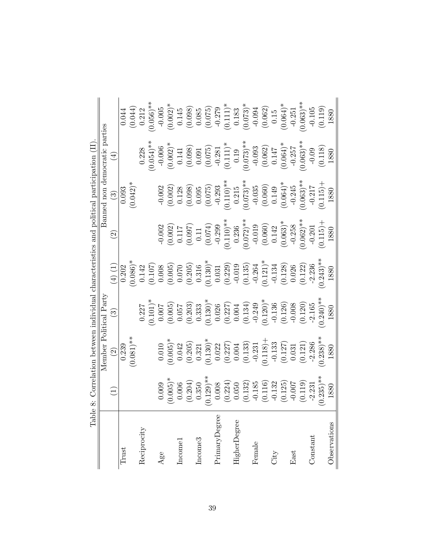| Table         | $\ddot{\infty}$                                                                                                                                                                                                             | Correlation between individual                                                                                                                                                                                                                                                                                             |                                                                                                                                                                                                                                                                                                                     | characteristics                                                                                                                                                                                                                                                                                                       |                                                                                                                                                                                                                                                                                                                                  | and political participation                                                                                                                                                                                                                                                                                          |                                                                                                                                                                                                                                                                                                                                                                                                                                                                                                                                                               |                                                                                                                                                                                                                                                                                                                         |
|---------------|-----------------------------------------------------------------------------------------------------------------------------------------------------------------------------------------------------------------------------|----------------------------------------------------------------------------------------------------------------------------------------------------------------------------------------------------------------------------------------------------------------------------------------------------------------------------|---------------------------------------------------------------------------------------------------------------------------------------------------------------------------------------------------------------------------------------------------------------------------------------------------------------------|-----------------------------------------------------------------------------------------------------------------------------------------------------------------------------------------------------------------------------------------------------------------------------------------------------------------------|----------------------------------------------------------------------------------------------------------------------------------------------------------------------------------------------------------------------------------------------------------------------------------------------------------------------------------|----------------------------------------------------------------------------------------------------------------------------------------------------------------------------------------------------------------------------------------------------------------------------------------------------------------------|---------------------------------------------------------------------------------------------------------------------------------------------------------------------------------------------------------------------------------------------------------------------------------------------------------------------------------------------------------------------------------------------------------------------------------------------------------------------------------------------------------------------------------------------------------------|-------------------------------------------------------------------------------------------------------------------------------------------------------------------------------------------------------------------------------------------------------------------------------------------------------------------------|
|               |                                                                                                                                                                                                                             | Member                                                                                                                                                                                                                                                                                                                     | l Party<br>Political                                                                                                                                                                                                                                                                                                |                                                                                                                                                                                                                                                                                                                       |                                                                                                                                                                                                                                                                                                                                  | mon<br>Banned                                                                                                                                                                                                                                                                                                        | democratic parties                                                                                                                                                                                                                                                                                                                                                                                                                                                                                                                                            |                                                                                                                                                                                                                                                                                                                         |
|               | $\Xi$                                                                                                                                                                                                                       | $\widehat{\infty}$                                                                                                                                                                                                                                                                                                         | $\widetilde{\omega}$                                                                                                                                                                                                                                                                                                | $(4)$ (1)                                                                                                                                                                                                                                                                                                             | $\widetilde{\mathcal{G}}$                                                                                                                                                                                                                                                                                                        | $\odot$                                                                                                                                                                                                                                                                                                              | $\widehat{A}$                                                                                                                                                                                                                                                                                                                                                                                                                                                                                                                                                 |                                                                                                                                                                                                                                                                                                                         |
| Trust         |                                                                                                                                                                                                                             | 0.239                                                                                                                                                                                                                                                                                                                      |                                                                                                                                                                                                                                                                                                                     | $\frac{1}{0.202}$                                                                                                                                                                                                                                                                                                     |                                                                                                                                                                                                                                                                                                                                  | 0.093                                                                                                                                                                                                                                                                                                                |                                                                                                                                                                                                                                                                                                                                                                                                                                                                                                                                                               |                                                                                                                                                                                                                                                                                                                         |
|               |                                                                                                                                                                                                                             | $(0.081)$ **                                                                                                                                                                                                                                                                                                               |                                                                                                                                                                                                                                                                                                                     | $0.086$ <sup>*</sup>                                                                                                                                                                                                                                                                                                  |                                                                                                                                                                                                                                                                                                                                  | $(0.042)$ *                                                                                                                                                                                                                                                                                                          |                                                                                                                                                                                                                                                                                                                                                                                                                                                                                                                                                               | $\begin{array}{c} 0.044 \\ (0.044) \\ 0.212 \\ 0.056)^{*}: \end{array}$                                                                                                                                                                                                                                                 |
| Reciprocity   |                                                                                                                                                                                                                             |                                                                                                                                                                                                                                                                                                                            |                                                                                                                                                                                                                                                                                                                     |                                                                                                                                                                                                                                                                                                                       |                                                                                                                                                                                                                                                                                                                                  |                                                                                                                                                                                                                                                                                                                      | 0.228                                                                                                                                                                                                                                                                                                                                                                                                                                                                                                                                                         |                                                                                                                                                                                                                                                                                                                         |
|               |                                                                                                                                                                                                                             |                                                                                                                                                                                                                                                                                                                            |                                                                                                                                                                                                                                                                                                                     |                                                                                                                                                                                                                                                                                                                       |                                                                                                                                                                                                                                                                                                                                  |                                                                                                                                                                                                                                                                                                                      |                                                                                                                                                                                                                                                                                                                                                                                                                                                                                                                                                               |                                                                                                                                                                                                                                                                                                                         |
| Age           | 0.009                                                                                                                                                                                                                       | 0.010                                                                                                                                                                                                                                                                                                                      |                                                                                                                                                                                                                                                                                                                     |                                                                                                                                                                                                                                                                                                                       | $-0.002$                                                                                                                                                                                                                                                                                                                         |                                                                                                                                                                                                                                                                                                                      |                                                                                                                                                                                                                                                                                                                                                                                                                                                                                                                                                               |                                                                                                                                                                                                                                                                                                                         |
|               |                                                                                                                                                                                                                             |                                                                                                                                                                                                                                                                                                                            |                                                                                                                                                                                                                                                                                                                     |                                                                                                                                                                                                                                                                                                                       |                                                                                                                                                                                                                                                                                                                                  |                                                                                                                                                                                                                                                                                                                      |                                                                                                                                                                                                                                                                                                                                                                                                                                                                                                                                                               |                                                                                                                                                                                                                                                                                                                         |
| Incomel       |                                                                                                                                                                                                                             |                                                                                                                                                                                                                                                                                                                            |                                                                                                                                                                                                                                                                                                                     |                                                                                                                                                                                                                                                                                                                       |                                                                                                                                                                                                                                                                                                                                  |                                                                                                                                                                                                                                                                                                                      |                                                                                                                                                                                                                                                                                                                                                                                                                                                                                                                                                               |                                                                                                                                                                                                                                                                                                                         |
|               |                                                                                                                                                                                                                             |                                                                                                                                                                                                                                                                                                                            |                                                                                                                                                                                                                                                                                                                     |                                                                                                                                                                                                                                                                                                                       |                                                                                                                                                                                                                                                                                                                                  |                                                                                                                                                                                                                                                                                                                      |                                                                                                                                                                                                                                                                                                                                                                                                                                                                                                                                                               |                                                                                                                                                                                                                                                                                                                         |
| Income3       |                                                                                                                                                                                                                             |                                                                                                                                                                                                                                                                                                                            |                                                                                                                                                                                                                                                                                                                     |                                                                                                                                                                                                                                                                                                                       |                                                                                                                                                                                                                                                                                                                                  |                                                                                                                                                                                                                                                                                                                      |                                                                                                                                                                                                                                                                                                                                                                                                                                                                                                                                                               |                                                                                                                                                                                                                                                                                                                         |
|               |                                                                                                                                                                                                                             |                                                                                                                                                                                                                                                                                                                            |                                                                                                                                                                                                                                                                                                                     |                                                                                                                                                                                                                                                                                                                       |                                                                                                                                                                                                                                                                                                                                  |                                                                                                                                                                                                                                                                                                                      |                                                                                                                                                                                                                                                                                                                                                                                                                                                                                                                                                               |                                                                                                                                                                                                                                                                                                                         |
| PrimaryDegree |                                                                                                                                                                                                                             |                                                                                                                                                                                                                                                                                                                            |                                                                                                                                                                                                                                                                                                                     |                                                                                                                                                                                                                                                                                                                       |                                                                                                                                                                                                                                                                                                                                  |                                                                                                                                                                                                                                                                                                                      |                                                                                                                                                                                                                                                                                                                                                                                                                                                                                                                                                               |                                                                                                                                                                                                                                                                                                                         |
|               |                                                                                                                                                                                                                             |                                                                                                                                                                                                                                                                                                                            |                                                                                                                                                                                                                                                                                                                     |                                                                                                                                                                                                                                                                                                                       |                                                                                                                                                                                                                                                                                                                                  |                                                                                                                                                                                                                                                                                                                      |                                                                                                                                                                                                                                                                                                                                                                                                                                                                                                                                                               |                                                                                                                                                                                                                                                                                                                         |
| HigherDegree  |                                                                                                                                                                                                                             |                                                                                                                                                                                                                                                                                                                            |                                                                                                                                                                                                                                                                                                                     |                                                                                                                                                                                                                                                                                                                       |                                                                                                                                                                                                                                                                                                                                  |                                                                                                                                                                                                                                                                                                                      |                                                                                                                                                                                                                                                                                                                                                                                                                                                                                                                                                               |                                                                                                                                                                                                                                                                                                                         |
|               | $(0.005)^*$<br>$(0.204)$<br>$(0.204)$<br>$(0.204)$<br>$(0.204)$<br>$(0.224)$<br>$(0.132)$<br>$(0.132)$<br>$(0.132)$<br>$(0.132)$<br>$(0.132)$<br>$(0.125)$<br>$(0.125)$<br>$(0.125)$<br>$(0.125)$<br>$(0.125)$<br>$(0.125)$ | $\begin{array}{c} (0.005)^* \\ (0.042) \\ (0.205) \\ (0.130)^* \\ (0.130)^* \\ (0.227) \\ (0.133) \\ (0.133) \\ (0.131) \\ (0.132) \\ (0.133) \\ (0.127) \\ (0.121) \\ (0.121) \\ (0.286) \\ (0.28)^* \\ (0.231) \\ (0.231) \\ (0.232) \\ (0.233) \\ (0.238) \\ (0.238) \\ (0.238) \\ (0.238) \\ (0.238) \\ (0.238) \\ (0$ | $\begin{array}{l} 0.227 \\[-4pt] 0.001 \\[-4pt] 0.005 \\[-4pt] 0.005 \\[-4pt] 0.005 \\[-4pt] 0.033 \\[-4pt] 0.033 \\[-4pt] 0.026 \\[-4pt] 0.027 \\[-4pt] 0.028 \\[-4pt] 0.004 \\[-4pt] 0.004 \\[-4pt] 0.008 \\[-4pt] 0.008 \\[-4pt] 0.008 \\[-4pt] 0.008 \\[-4pt] 0.008 \\[-4pt] 0.008 \\[-4pt] 0.008 \\[-4pt] 0.0$ | $\begin{array}{l} 0.142 \\ (0.107) \\ (0.005) \\ (0.205) \\ (0.205) \\ (0.130) \\ (0.130) \\ (0.130) \\ (0.131) \\ (0.132) \\ (0.135) \\ (0.137) \\ (0.138) \\ (0.132) \\ (0.134) \\ (0.122) \\ (0.123) \\ (0.124) \\ (0.125) \\ (0.124) \\ (0.125) \\ (0.124) \\ (0.125) \\ (0.127) \\ (0.128) \\ (0.128) \\ (0.128$ | $\begin{array}{c} (0.002) \\ 0.117 \\ (0.097) \\ (0.110) * \\ (0.110) * \\ (0.110) * \\ (0.072) \\ (0.072) * \\ (0.060) \\ (0.063) * \\ (0.062) * \\ (0.0142 \\ -0.258 \\ (0.062) * \\ (0.115) + \\ (0.115) + \\ (0.115) + \\ (0.115) + \\ (0.115) + \\ (0.115) + \\ (0.115) + \\ (0.115) + \\ (0.115) + \\ (0.115) + \\ (0.115$ | $\begin{array}{c} -0.002 \\[-4pt] 0.002 \\[-4pt] 0.008 \\[-4pt] 0.095 \\[-4pt] 0.075 \\[-4pt] 0.075 \\[-4pt] 0.073 \\[-4pt] 0.035 \\[-4pt] 0.035 \\[-4pt] 0.035 \\[-4pt] 0.037 \\[-4pt] 0.037 \\[-4pt] 0.037 \\[-4pt] 0.037 \\[-4pt] 0.037 \\[-4pt] 0.037 \\[-4pt] 0.037 \\[-4pt] 0.037 \\[-4pt] 0.037 \\[-4pt] 0.0$ | $\begin{array}{l} \left( \begin{smallmatrix} 0.054 \end{smallmatrix} \right)^{*;} \\ \left( \begin{smallmatrix} 0.002 \end{smallmatrix} \right)^{*} \\ \left( \begin{smallmatrix} 0.002 \end{smallmatrix} \right)^{*} \\ \left( \begin{smallmatrix} 0.002 \end{smallmatrix} \right)^{*} \\ \left( \begin{smallmatrix} 0.001 \end{smallmatrix} \right)^{*} \\ \left( \begin{smallmatrix} 0.001 \end{smallmatrix} \right)^{*} \\ \left( \begin{smallmatrix} 0.075 \end{smallmatrix} \right)^{*} \\ \left( \begin{smallmatrix} 0.075 \end{smallmatrix} \right)^$ | $\begin{array}{l} -0.005 \\ (0.002)^* \\ (0.098) \\ (0.085) \\ (0.075) \\ (0.075) \\ (0.111)^* \\ (0.073)^* \\ (0.062) \\ (0.064)^* \\ (0.063)^* \\ (0.063)^* \\ (0.015) \\ (0.063)^* \\ (0.119) \\ (0.0119) \\ (0.0119) \\ (0.0119) \\ (0.0119) \\ (0.0119) \\ (0.0119) \\ (0.0119) \\ (0.0119) \\ (0.0119) \\ (0.011$ |
| Female        |                                                                                                                                                                                                                             |                                                                                                                                                                                                                                                                                                                            |                                                                                                                                                                                                                                                                                                                     |                                                                                                                                                                                                                                                                                                                       |                                                                                                                                                                                                                                                                                                                                  |                                                                                                                                                                                                                                                                                                                      |                                                                                                                                                                                                                                                                                                                                                                                                                                                                                                                                                               |                                                                                                                                                                                                                                                                                                                         |
|               |                                                                                                                                                                                                                             |                                                                                                                                                                                                                                                                                                                            |                                                                                                                                                                                                                                                                                                                     |                                                                                                                                                                                                                                                                                                                       |                                                                                                                                                                                                                                                                                                                                  |                                                                                                                                                                                                                                                                                                                      |                                                                                                                                                                                                                                                                                                                                                                                                                                                                                                                                                               |                                                                                                                                                                                                                                                                                                                         |
| City          |                                                                                                                                                                                                                             |                                                                                                                                                                                                                                                                                                                            |                                                                                                                                                                                                                                                                                                                     |                                                                                                                                                                                                                                                                                                                       |                                                                                                                                                                                                                                                                                                                                  |                                                                                                                                                                                                                                                                                                                      |                                                                                                                                                                                                                                                                                                                                                                                                                                                                                                                                                               |                                                                                                                                                                                                                                                                                                                         |
|               |                                                                                                                                                                                                                             |                                                                                                                                                                                                                                                                                                                            |                                                                                                                                                                                                                                                                                                                     |                                                                                                                                                                                                                                                                                                                       |                                                                                                                                                                                                                                                                                                                                  |                                                                                                                                                                                                                                                                                                                      |                                                                                                                                                                                                                                                                                                                                                                                                                                                                                                                                                               |                                                                                                                                                                                                                                                                                                                         |
| East          |                                                                                                                                                                                                                             |                                                                                                                                                                                                                                                                                                                            |                                                                                                                                                                                                                                                                                                                     |                                                                                                                                                                                                                                                                                                                       |                                                                                                                                                                                                                                                                                                                                  |                                                                                                                                                                                                                                                                                                                      |                                                                                                                                                                                                                                                                                                                                                                                                                                                                                                                                                               |                                                                                                                                                                                                                                                                                                                         |
|               |                                                                                                                                                                                                                             |                                                                                                                                                                                                                                                                                                                            |                                                                                                                                                                                                                                                                                                                     |                                                                                                                                                                                                                                                                                                                       |                                                                                                                                                                                                                                                                                                                                  |                                                                                                                                                                                                                                                                                                                      |                                                                                                                                                                                                                                                                                                                                                                                                                                                                                                                                                               |                                                                                                                                                                                                                                                                                                                         |
| Constant      |                                                                                                                                                                                                                             |                                                                                                                                                                                                                                                                                                                            |                                                                                                                                                                                                                                                                                                                     |                                                                                                                                                                                                                                                                                                                       |                                                                                                                                                                                                                                                                                                                                  |                                                                                                                                                                                                                                                                                                                      |                                                                                                                                                                                                                                                                                                                                                                                                                                                                                                                                                               |                                                                                                                                                                                                                                                                                                                         |
|               |                                                                                                                                                                                                                             |                                                                                                                                                                                                                                                                                                                            |                                                                                                                                                                                                                                                                                                                     |                                                                                                                                                                                                                                                                                                                       |                                                                                                                                                                                                                                                                                                                                  |                                                                                                                                                                                                                                                                                                                      |                                                                                                                                                                                                                                                                                                                                                                                                                                                                                                                                                               |                                                                                                                                                                                                                                                                                                                         |
| Observations  | 1880                                                                                                                                                                                                                        |                                                                                                                                                                                                                                                                                                                            |                                                                                                                                                                                                                                                                                                                     |                                                                                                                                                                                                                                                                                                                       |                                                                                                                                                                                                                                                                                                                                  |                                                                                                                                                                                                                                                                                                                      |                                                                                                                                                                                                                                                                                                                                                                                                                                                                                                                                                               |                                                                                                                                                                                                                                                                                                                         |